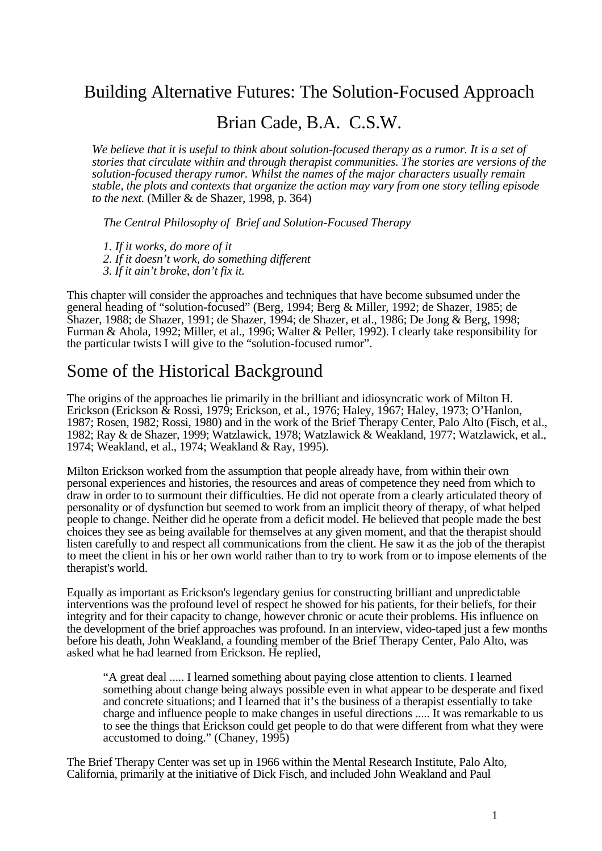### Building Alternative Futures: The Solution-Focused Approach

#### Brian Cade, B.A. C.S.W.

*We believe that it is useful to think about solution-focused therapy as a rumor. It is a set of stories that circulate within and through therapist communities. The stories are versions of the solution-focused therapy rumor. Whilst the names of the major characters usually remain stable, the plots and contexts that organize the action may vary from one story telling episode to the next.* (Miller & de Shazer, 1998, p. 364)

*The Central Philosophy of Brief and Solution-Focused Therapy*

*1. If it works, do more of it 2. If it doesn't work, do something different 3. If it ain't broke, don't fix it.*

This chapter will consider the approaches and techniques that have become subsumed under the general heading of "solution-focused" (Berg, 1994; Berg & Miller, 1992; de Shazer, 1985; de Shazer, 1988; de Shazer, 1991; de Shazer, 1994; de Shazer, et al., 1986; De Jong & Berg, 1998; Furman & Ahola, 1992; Miller, et al., 1996; Walter & Peller, 1992). I clearly take responsibility for the particular twists I will give to the "solution-focused rumor".

## Some of the Historical Background

The origins of the approaches lie primarily in the brilliant and idiosyncratic work of Milton H. Erickson (Erickson & Rossi, 1979; Erickson, et al., 1976; Haley, 1967; Haley, 1973; O'Hanlon, 1987; Rosen, 1982; Rossi, 1980) and in the work of the Brief Therapy Center, Palo Alto (Fisch, et al., 1982; Ray & de Shazer, 1999; Watzlawick, 1978; Watzlawick & Weakland, 1977; Watzlawick, et al., 1974; Weakland, et al., 1974; Weakland & Ray, 1995).

Milton Erickson worked from the assumption that people already have, from within their own personal experiences and histories, the resources and areas of competence they need from which to draw in order to to surmount their difficulties. He did not operate from a clearly articulated theory of personality or of dysfunction but seemed to work from an implicit theory of therapy, of what helped people to change. Neither did he operate from a deficit model. He believed that people made the best choices they see as being available for themselves at any given moment, and that the therapist should listen carefully to and respect all communications from the client. He saw it as the job of the therapist to meet the client in his or her own world rather than to try to work from or to impose elements of the therapist's world.

Equally as important as Erickson's legendary genius for constructing brilliant and unpredictable interventions was the profound level of respect he showed for his patients, for their beliefs, for their integrity and for their capacity to change, however chronic or acute their problems. His influence on the development of the brief approaches was profound. In an interview, video-taped just a few months before his death, John Weakland, a founding member of the Brief Therapy Center, Palo Alto, was asked what he had learned from Erickson. He replied,

"A great deal ..... I learned something about paying close attention to clients. I learned something about change being always possible even in what appear to be desperate and fixed and concrete situations; and I learned that it's the business of a therapist essentially to take charge and influence people to make changes in useful directions ..... It was remarkable to us to see the things that Erickson could get people to do that were different from what they were accustomed to doing." (Chaney, 1995)

The Brief Therapy Center was set up in 1966 within the Mental Research Institute, Palo Alto, California, primarily at the initiative of Dick Fisch, and included John Weakland and Paul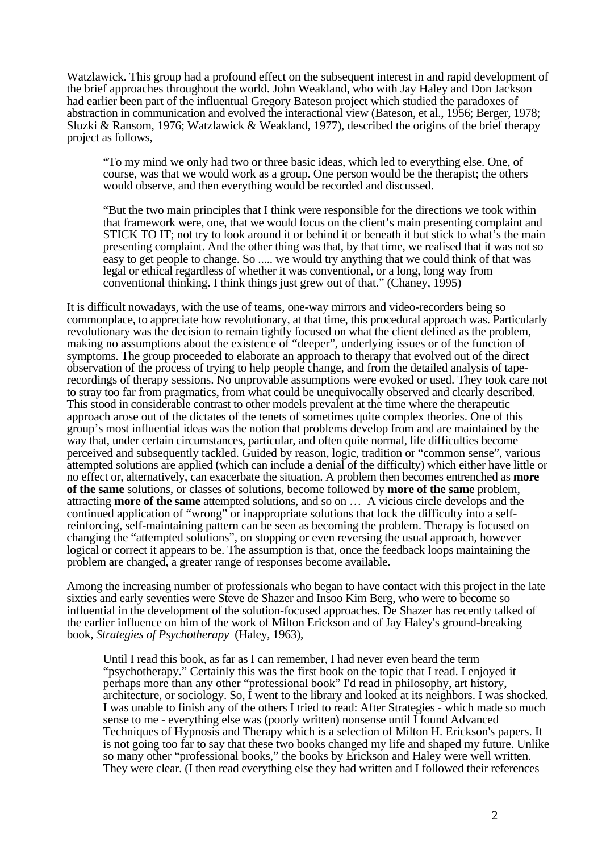Watzlawick. This group had a profound effect on the subsequent interest in and rapid development of the brief approaches throughout the world. John Weakland, who with Jay Haley and Don Jackson had earlier been part of the influentual Gregory Bateson project which studied the paradoxes of abstraction in communication and evolved the interactional view (Bateson, et al., 1956; Berger, 1978; Sluzki & Ransom, 1976; Watzlawick & Weakland, 1977), described the origins of the brief therapy project as follows,

"To my mind we only had two or three basic ideas, which led to everything else. One, of course, was that we would work as a group. One person would be the therapist; the others would observe, and then everything would be recorded and discussed.

"But the two main principles that I think were responsible for the directions we took within that framework were, one, that we would focus on the client's main presenting complaint and STICK TO IT; not try to look around it or behind it or beneath it but stick to what's the main presenting complaint. And the other thing was that, by that time, we realised that it was not so easy to get people to change. So ..... we would try anything that we could think of that was legal or ethical regardless of whether it was conventional, or a long, long way from conventional thinking. I think things just grew out of that." (Chaney, 1995)

It is difficult nowadays, with the use of teams, one-way mirrors and video-recorders being so commonplace, to appreciate how revolutionary, at that time, this procedural approach was. Particularly revolutionary was the decision to remain tightly focused on what the client defined as the problem, making no assumptions about the existence of "deeper", underlying issues or of the function of symptoms. The group proceeded to elaborate an approach to therapy that evolved out of the direct observation of the process of trying to help people change, and from the detailed analysis of taperecordings of therapy sessions. No unprovable assumptions were evoked or used. They took care not to stray too far from pragmatics, from what could be unequivocally observed and clearly described. This stood in considerable contrast to other models prevalent at the time where the therapeutic approach arose out of the dictates of the tenets of sometimes quite complex theories. One of this group's most influential ideas was the notion that problems develop from and are maintained by the way that, under certain circumstances, particular, and often quite normal, life difficulties become perceived and subsequently tackled. Guided by reason, logic, tradition or "common sense", various attempted solutions are applied (which can include a denial of the difficulty) which either have little or no effect or, alternatively, can exacerbate the situation. A problem then becomes entrenched as **more of the same** solutions, or classes of solutions, become followed by **more of the same** problem, attracting **more of the same** attempted solutions, and so on … A vicious circle develops and the continued application of "wrong" or inappropriate solutions that lock the difficulty into a selfreinforcing, self-maintaining pattern can be seen as becoming the problem. Therapy is focused on changing the "attempted solutions", on stopping or even reversing the usual approach, however logical or correct it appears to be. The assumption is that, once the feedback loops maintaining the problem are changed, a greater range of responses become available.

Among the increasing number of professionals who began to have contact with this project in the late sixties and early seventies were Steve de Shazer and Insoo Kim Berg, who were to become so influential in the development of the solution-focused approaches. De Shazer has recently talked of the earlier influence on him of the work of Milton Erickson and of Jay Haley's ground-breaking book, *Strategies of Psychotherapy* (Haley, 1963),

Until I read this book, as far as I can remember, I had never even heard the term "psychotherapy." Certainly this was the first book on the topic that I read. I enjoyed it perhaps more than any other "professional book" I'd read in philosophy, art history, architecture, or sociology. So, I went to the library and looked at its neighbors. I was shocked. I was unable to finish any of the others I tried to read: After Strategies - which made so much sense to me - everything else was (poorly written) nonsense until I found Advanced Techniques of Hypnosis and Therapy which is a selection of Milton H. Erickson's papers. It is not going too far to say that these two books changed my life and shaped my future. Unlike so many other "professional books," the books by Erickson and Haley were well written. They were clear. (I then read everything else they had written and I followed their references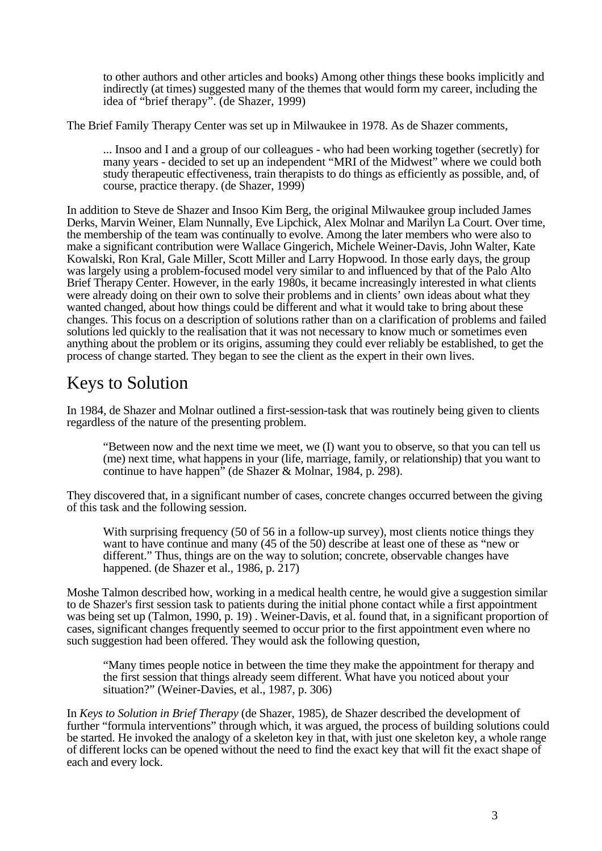to other authors and other articles and books) Among other things these books implicitly and indirectly (at times) suggested many of the themes that would form my career, including the idea of "brief therapy". (de Shazer, 1999)

The Brief Family Therapy Center was set up in Milwaukee in 1978. As de Shazer comments,

... Insoo and I and a group of our colleagues - who had been working together (secretly) for many years - decided to set up an independent "MRI of the Midwest" where we could both study therapeutic effectiveness, train therapists to do things as efficiently as possible, and, of course, practice therapy. (de Shazer, 1999)

In addition to Steve de Shazer and Insoo Kim Berg, the original Milwaukee group included James Derks, Marvin Weiner, Elam Nunnally, Eve Lipchick, Alex Molnar and Marilyn La Court. Over time, the membership of the team was continually to evolve. Among the later members who were also to make a significant contribution were Wallace Gingerich, Michele Weiner-Davis, John Walter, Kate Kowalski, Ron Kral, Gale Miller, Scott Miller and Larry Hopwood. In those early days, the group was largely using a problem-focused model very similar to and influenced by that of the Palo Alto Brief Therapy Center. However, in the early 1980s, it became increasingly interested in what clients were already doing on their own to solve their problems and in clients' own ideas about what they wanted changed, about how things could be different and what it would take to bring about these changes. This focus on a description of solutions rather than on a clarification of problems and failed solutions led quickly to the realisation that it was not necessary to know much or sometimes even anything about the problem or its origins, assuming they could ever reliably be established, to get the process of change started. They began to see the client as the expert in their own lives.

# Keys to Solution

In 1984, de Shazer and Molnar outlined a first-session-task that was routinely being given to clients regardless of the nature of the presenting problem.

"Between now and the next time we meet, we (I) want you to observe, so that you can tell us (me) next time, what happens in your (life, marriage, family, or relationship) that you want to continue to have happen" (de Shazer & Molnar, 1984, p. 298).

They discovered that, in a significant number of cases, concrete changes occurred between the giving of this task and the following session.

With surprising frequency (50 of 56 in a follow-up survey), most clients notice things they want to have continue and many (45 of the 50) describe at least one of these as "new or different." Thus, things are on the way to solution; concrete, observable changes have happened. (de Shazer et al., 1986, p. 217)

Moshe Talmon described how, working in a medical health centre, he would give a suggestion similar to de Shazer's first session task to patients during the initial phone contact while a first appointment was being set up (Talmon, 1990, p. 19) . Weiner-Davis, et al. found that, in a significant proportion of cases, significant changes frequently seemed to occur prior to the first appointment even where no such suggestion had been offered. They would ask the following question,

"Many times people notice in between the time they make the appointment for therapy and the first session that things already seem different. What have you noticed about your situation?" (Weiner-Davies, et al., 1987, p. 306)

In *Keys to Solution in Brief Therapy* (de Shazer, 1985), de Shazer described the development of further "formula interventions" through which, it was argued, the process of building solutions could be started. He invoked the analogy of a skeleton key in that, with just one skeleton key, a whole range of different locks can be opened without the need to find the exact key that will fit the exact shape of each and every lock.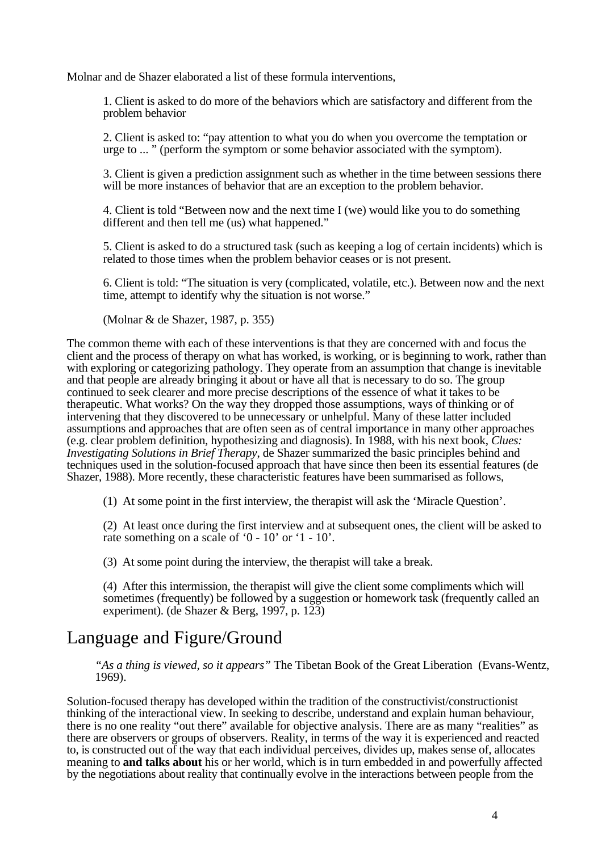Molnar and de Shazer elaborated a list of these formula interventions,

1. Client is asked to do more of the behaviors which are satisfactory and different from the problem behavior

2. Client is asked to: "pay attention to what you do when you overcome the temptation or urge to ... " (perform the symptom or some behavior associated with the symptom).

3. Client is given a prediction assignment such as whether in the time between sessions there will be more instances of behavior that are an exception to the problem behavior.

4. Client is told "Between now and the next time I (we) would like you to do something different and then tell me (us) what happened."

5. Client is asked to do a structured task (such as keeping a log of certain incidents) which is related to those times when the problem behavior ceases or is not present.

6. Client is told: "The situation is very (complicated, volatile, etc.). Between now and the next time, attempt to identify why the situation is not worse."

(Molnar & de Shazer, 1987, p. 355)

The common theme with each of these interventions is that they are concerned with and focus the client and the process of therapy on what has worked, is working, or is beginning to work, rather than with exploring or categorizing pathology. They operate from an assumption that change is inevitable and that people are already bringing it about or have all that is necessary to do so. The group continued to seek clearer and more precise descriptions of the essence of what it takes to be therapeutic. What works? On the way they dropped those assumptions, ways of thinking or of intervening that they discovered to be unnecessary or unhelpful. Many of these latter included assumptions and approaches that are often seen as of central importance in many other approaches (e.g. clear problem definition, hypothesizing and diagnosis). In 1988, with his next book, *Clues: Investigating Solutions in Brief Therapy*, de Shazer summarized the basic principles behind and techniques used in the solution-focused approach that have since then been its essential features (de Shazer, 1988). More recently, these characteristic features have been summarised as follows,

(1) At some point in the first interview, the therapist will ask the 'Miracle Question'.

(2) At least once during the first interview and at subsequent ones, the client will be asked to rate something on a scale of '0 - 10' or '1 - 10'.

(3) At some point during the interview, the therapist will take a break.

(4) After this intermission, the therapist will give the client some compliments which will sometimes (frequently) be followed by a suggestion or homework task (frequently called an experiment). (de Shazer & Berg, 1997, p. 123)

## Language and Figure/Ground

*"As a thing is viewed, so it appears"* The Tibetan Book of the Great Liberation (Evans-Wentz, 1969).

Solution-focused therapy has developed within the tradition of the constructivist/constructionist thinking of the interactional view. In seeking to describe, understand and explain human behaviour, there is no one reality "out there" available for objective analysis. There are as many "realities" as there are observers or groups of observers. Reality, in terms of the way it is experienced and reacted to, is constructed out of the way that each individual perceives, divides up, makes sense of, allocates meaning to **and talks about** his or her world, which is in turn embedded in and powerfully affected by the negotiations about reality that continually evolve in the interactions between people from the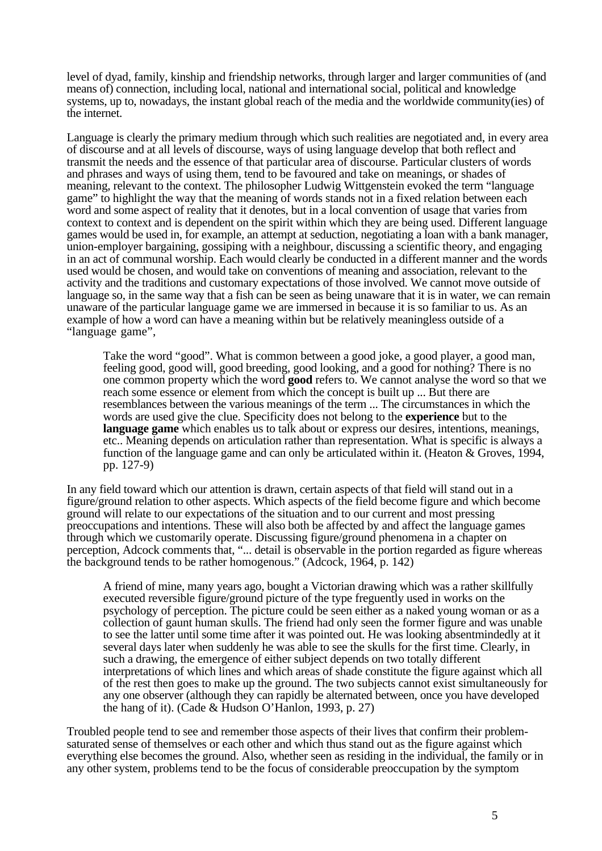level of dyad, family, kinship and friendship networks, through larger and larger communities of (and means of) connection, including local, national and international social, political and knowledge systems, up to, nowadays, the instant global reach of the media and the worldwide community(ies) of the internet.

Language is clearly the primary medium through which such realities are negotiated and, in every area of discourse and at all levels of discourse, ways of using language develop that both reflect and transmit the needs and the essence of that particular area of discourse. Particular clusters of words and phrases and ways of using them, tend to be favoured and take on meanings, or shades of meaning, relevant to the context. The philosopher Ludwig Wittgenstein evoked the term "language game" to highlight the way that the meaning of words stands not in a fixed relation between each word and some aspect of reality that it denotes, but in a local convention of usage that varies from context to context and is dependent on the spirit within which they are being used. Different language games would be used in, for example, an attempt at seduction, negotiating a loan with a bank manager, union-employer bargaining, gossiping with a neighbour, discussing a scientific theory, and engaging in an act of communal worship. Each would clearly be conducted in a different manner and the words used would be chosen, and would take on conventions of meaning and association, relevant to the activity and the traditions and customary expectations of those involved. We cannot move outside of language so, in the same way that a fish can be seen as being unaware that it is in water, we can remain unaware of the particular language game we are immersed in because it is so familiar to us. As an example of how a word can have a meaning within but be relatively meaningless outside of a "language game",

Take the word "good". What is common between a good joke, a good player, a good man, feeling good, good will, good breeding, good looking, and a good for nothing? There is no one common property which the word **good** refers to. We cannot analyse the word so that we reach some essence or element from which the concept is built up ... But there are resemblances between the various meanings of the term ... The circumstances in which the words are used give the clue. Specificity does not belong to the **experience** but to the **language game** which enables us to talk about or express our desires, intentions, meanings, etc.. Meaning depends on articulation rather than representation. What is specific is always a function of the language game and can only be articulated within it. (Heaton & Groves, 1994, pp. 127-9)

In any field toward which our attention is drawn, certain aspects of that field will stand out in a figure/ground relation to other aspects. Which aspects of the field become figure and which become ground will relate to our expectations of the situation and to our current and most pressing preoccupations and intentions. These will also both be affected by and affect the language games through which we customarily operate. Discussing figure/ground phenomena in a chapter on perception, Adcock comments that, "... detail is observable in the portion regarded as figure whereas the background tends to be rather homogenous." (Adcock, 1964, p. 142)

A friend of mine, many years ago, bought a Victorian drawing which was a rather skillfully executed reversible figure/ground picture of the type freguently used in works on the psychology of perception. The picture could be seen either as a naked young woman or as a collection of gaunt human skulls. The friend had only seen the former figure and was unable to see the latter until some time after it was pointed out. He was looking absentmindedly at it several days later when suddenly he was able to see the skulls for the first time. Clearly, in such a drawing, the emergence of either subject depends on two totally different interpretations of which lines and which areas of shade constitute the figure against which all of the rest then goes to make up the ground. The two subjects cannot exist simultaneously for any one observer (although they can rapidly be alternated between, once you have developed the hang of it). (Cade & Hudson O'Hanlon, 1993, p. 27)

Troubled people tend to see and remember those aspects of their lives that confirm their problemsaturated sense of themselves or each other and which thus stand out as the figure against which everything else becomes the ground. Also, whether seen as residing in the individual, the family or in any other system, problems tend to be the focus of considerable preoccupation by the symptom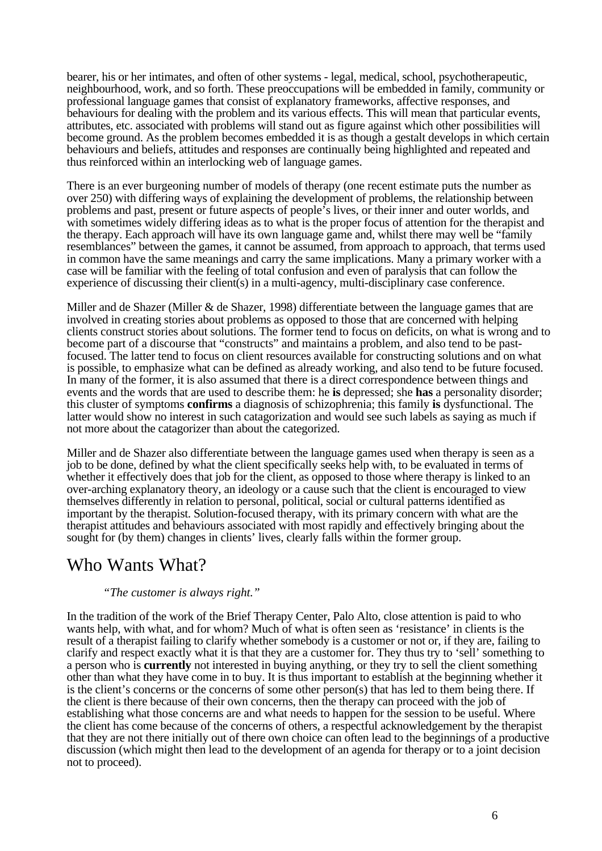bearer, his or her intimates, and often of other systems - legal, medical, school, psychotherapeutic, neighbourhood, work, and so forth. These preoccupations will be embedded in family, community or professional language games that consist of explanatory frameworks, affective responses, and behaviours for dealing with the problem and its various effects. This will mean that particular events, attributes, etc. associated with problems will stand out as figure against which other possibilities will become ground. As the problem becomes embedded it is as though a gestalt develops in which certain behaviours and beliefs, attitudes and responses are continually being highlighted and repeated and thus reinforced within an interlocking web of language games.

There is an ever burgeoning number of models of therapy (one recent estimate puts the number as over 250) with differing ways of explaining the development of problems, the relationship between problems and past, present or future aspects of people's lives, or their inner and outer worlds, and with sometimes widely differing ideas as to what is the proper focus of attention for the therapist and the therapy. Each approach will have its own language game and, whilst there may well be "family resemblances" between the games, it cannot be assumed, from approach to approach, that terms used in common have the same meanings and carry the same implications. Many a primary worker with a case will be familiar with the feeling of total confusion and even of paralysis that can follow the experience of discussing their client(s) in a multi-agency, multi-disciplinary case conference.

Miller and de Shazer (Miller & de Shazer, 1998) differentiate between the language games that are involved in creating stories about problems as opposed to those that are concerned with helping clients construct stories about solutions. The former tend to focus on deficits, on what is wrong and to become part of a discourse that "constructs" and maintains a problem, and also tend to be pastfocused. The latter tend to focus on client resources available for constructing solutions and on what is possible, to emphasize what can be defined as already working, and also tend to be future focused. In many of the former, it is also assumed that there is a direct correspondence between things and events and the words that are used to describe them: he **is** depressed; she **has** a personality disorder; this cluster of symptoms **confirms** a diagnosis of schizophrenia; this family **is** dysfunctional. The latter would show no interest in such catagorization and would see such labels as saying as much if not more about the catagorizer than about the categorized.

Miller and de Shazer also differentiate between the language games used when therapy is seen as a job to be done, defined by what the client specifically seeks help with, to be evaluated in terms of whether it effectively does that job for the client, as opposed to those where therapy is linked to an over-arching explanatory theory, an ideology or a cause such that the client is encouraged to view themselves differently in relation to personal, political, social or cultural patterns identified as important by the therapist. Solution-focused therapy, with its primary concern with what are the therapist attitudes and behaviours associated with most rapidly and effectively bringing about the sought for (by them) changes in clients' lives, clearly falls within the former group.

#### Who Wants What?

#### *"The customer is always right."*

In the tradition of the work of the Brief Therapy Center, Palo Alto, close attention is paid to who wants help, with what, and for whom? Much of what is often seen as 'resistance' in clients is the result of a therapist failing to clarify whether somebody is a customer or not or, if they are, failing to clarify and respect exactly what it is that they are a customer for. They thus try to 'sell' something to a person who is **currently** not interested in buying anything, or they try to sell the client something other than what they have come in to buy. It is thus important to establish at the beginning whether it is the client's concerns or the concerns of some other person(s) that has led to them being there. If the client is there because of their own concerns, then the therapy can proceed with the job of establishing what those concerns are and what needs to happen for the session to be useful. Where the client has come because of the concerns of others, a respectful acknowledgement by the therapist that they are not there initially out of there own choice can often lead to the beginnings of a productive discussion (which might then lead to the development of an agenda for therapy or to a joint decision not to proceed).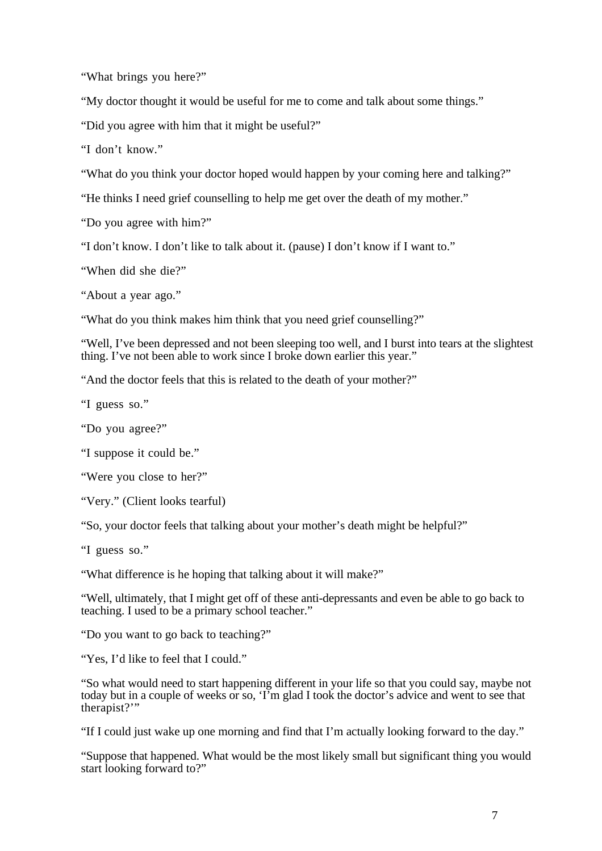"What brings you here?"

"My doctor thought it would be useful for me to come and talk about some things."

"Did you agree with him that it might be useful?"

"I don't know."

"What do you think your doctor hoped would happen by your coming here and talking?"

"He thinks I need grief counselling to help me get over the death of my mother."

"Do you agree with him?"

"I don't know. I don't like to talk about it. (pause) I don't know if I want to."

"When did she die?"

"About a year ago."

"What do you think makes him think that you need grief counselling?"

"Well, I've been depressed and not been sleeping too well, and I burst into tears at the slightest thing. I've not been able to work since I broke down earlier this year."

"And the doctor feels that this is related to the death of your mother?"

"I guess so."

"Do you agree?"

"I suppose it could be."

"Were you close to her?"

"Very." (Client looks tearful)

"So, your doctor feels that talking about your mother's death might be helpful?"

"I guess so."

"What difference is he hoping that talking about it will make?"

"Well, ultimately, that I might get off of these anti-depressants and even be able to go back to teaching. I used to be a primary school teacher."

"Do you want to go back to teaching?"

"Yes, I'd like to feel that I could."

"So what would need to start happening different in your life so that you could say, maybe not today but in a couple of weeks or so, 'I'm glad I took the doctor's advice and went to see that therapist?"

"If I could just wake up one morning and find that I'm actually looking forward to the day."

"Suppose that happened. What would be the most likely small but significant thing you would start looking forward to?"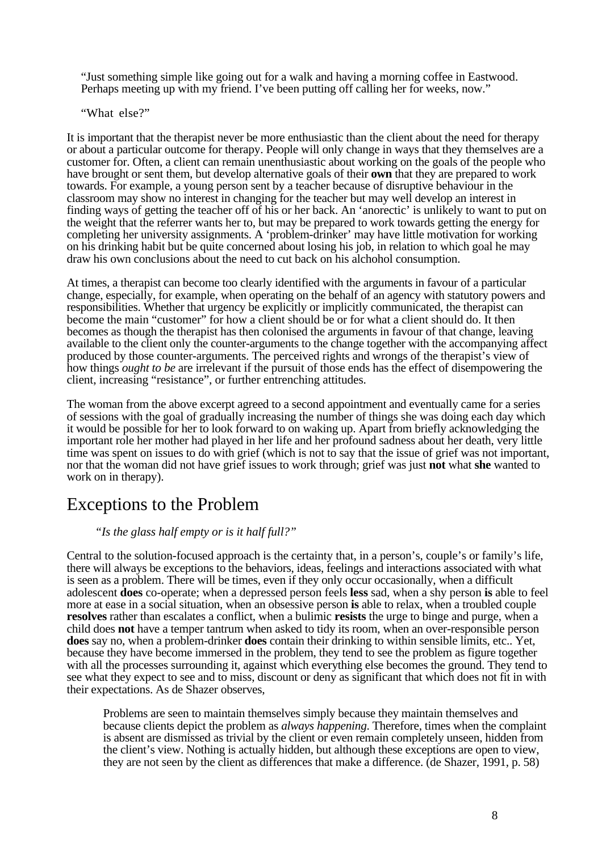"Just something simple like going out for a walk and having a morning coffee in Eastwood. Perhaps meeting up with my friend. I've been putting off calling her for weeks, now."

"What else?"

It is important that the therapist never be more enthusiastic than the client about the need for therapy or about a particular outcome for therapy. People will only change in ways that they themselves are a customer for. Often, a client can remain unenthusiastic about working on the goals of the people who have brought or sent them, but develop alternative goals of their **own** that they are prepared to work towards. For example, a young person sent by a teacher because of disruptive behaviour in the classroom may show no interest in changing for the teacher but may well develop an interest in finding ways of getting the teacher off of his or her back. An 'anorectic' is unlikely to want to put on the weight that the referrer wants her to, but may be prepared to work towards getting the energy for completing her university assignments. A 'problem-drinker' may have little motivation for working on his drinking habit but be quite concerned about losing his job, in relation to which goal he may draw his own conclusions about the need to cut back on his alchohol consumption.

At times, a therapist can become too clearly identified with the arguments in favour of a particular change, especially, for example, when operating on the behalf of an agency with statutory powers and responsibilities. Whether that urgency be explicitly or implicitly communicated, the therapist can become the main "customer" for how a client should be or for what a client should do. It then becomes as though the therapist has then colonised the arguments in favour of that change, leaving available to the client only the counter-arguments to the change together with the accompanying affect produced by those counter-arguments. The perceived rights and wrongs of the therapist's view of how things *ought to be* are irrelevant if the pursuit of those ends has the effect of disempowering the client, increasing "resistance", or further entrenching attitudes.

The woman from the above excerpt agreed to a second appointment and eventually came for a series of sessions with the goal of gradually increasing the number of things she was doing each day which it would be possible for her to look forward to on waking up. Apart from briefly acknowledging the important role her mother had played in her life and her profound sadness about her death, very little time was spent on issues to do with grief (which is not to say that the issue of grief was not important, nor that the woman did not have grief issues to work through; grief was just **not** what **she** wanted to work on in therapy).

## Exceptions to the Problem

#### *"Is the glass half empty or is it half full?"*

Central to the solution-focused approach is the certainty that, in a person's, couple's or family's life, there will always be exceptions to the behaviors, ideas, feelings and interactions associated with what is seen as a problem. There will be times, even if they only occur occasionally, when a difficult adolescent **does** co-operate; when a depressed person feels **less** sad, when a shy person **is** able to feel more at ease in a social situation, when an obsessive person **is** able to relax, when a troubled couple **resolves** rather than escalates a conflict, when a bulimic **resists** the urge to binge and purge, when a child does **not** have a temper tantrum when asked to tidy its room, when an over-responsible person **does** say no, when a problem-drinker **does** contain their drinking to within sensible limits, etc.. Yet, because they have become immersed in the problem, they tend to see the problem as figure together with all the processes surrounding it, against which everything else becomes the ground. They tend to see what they expect to see and to miss, discount or deny as significant that which does not fit in with their expectations. As de Shazer observes,

Problems are seen to maintain themselves simply because they maintain themselves and because clients depict the problem as *always happening*. Therefore, times when the complaint is absent are dismissed as trivial by the client or even remain completely unseen, hidden from the client's view. Nothing is actually hidden, but although these exceptions are open to view, they are not seen by the client as differences that make a difference. (de Shazer, 1991, p. 58)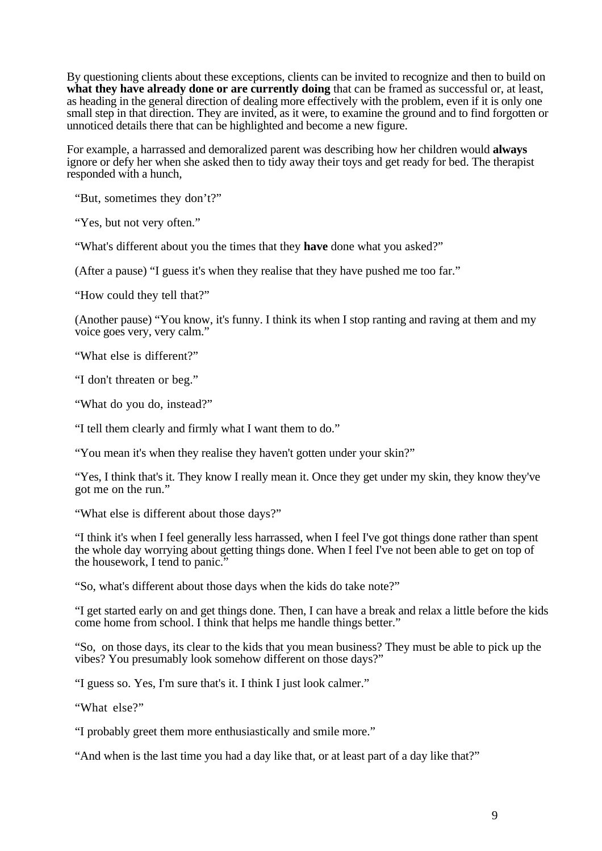By questioning clients about these exceptions, clients can be invited to recognize and then to build on **what they have already done or are currently doing** that can be framed as successful or, at least, as heading in the general direction of dealing more effectively with the problem, even if it is only one small step in that direction. They are invited, as it were, to examine the ground and to find forgotten or unnoticed details there that can be highlighted and become a new figure.

For example, a harrassed and demoralized parent was describing how her children would **always** ignore or defy her when she asked then to tidy away their toys and get ready for bed. The therapist responded with a hunch,

"But, sometimes they don't?"

"Yes, but not very often."

"What's different about you the times that they **have** done what you asked?"

(After a pause) "I guess it's when they realise that they have pushed me too far."

"How could they tell that?"

(Another pause) "You know, it's funny. I think its when I stop ranting and raving at them and my voice goes very, very calm."

"What else is different?"

"I don't threaten or beg."

"What do you do, instead?"

"I tell them clearly and firmly what I want them to do."

"You mean it's when they realise they haven't gotten under your skin?"

"Yes, I think that's it. They know I really mean it. Once they get under my skin, they know they've got me on the run."

"What else is different about those days?"

"I think it's when I feel generally less harrassed, when I feel I've got things done rather than spent the whole day worrying about getting things done. When I feel I've not been able to get on top of the housework, I tend to panic."

"So, what's different about those days when the kids do take note?"

"I get started early on and get things done. Then, I can have a break and relax a little before the kids come home from school. I think that helps me handle things better."

"So, on those days, its clear to the kids that you mean business? They must be able to pick up the vibes? You presumably look somehow different on those days?"

"I guess so. Yes, I'm sure that's it. I think I just look calmer."

"What else?"

"I probably greet them more enthusiastically and smile more."

"And when is the last time you had a day like that, or at least part of a day like that?"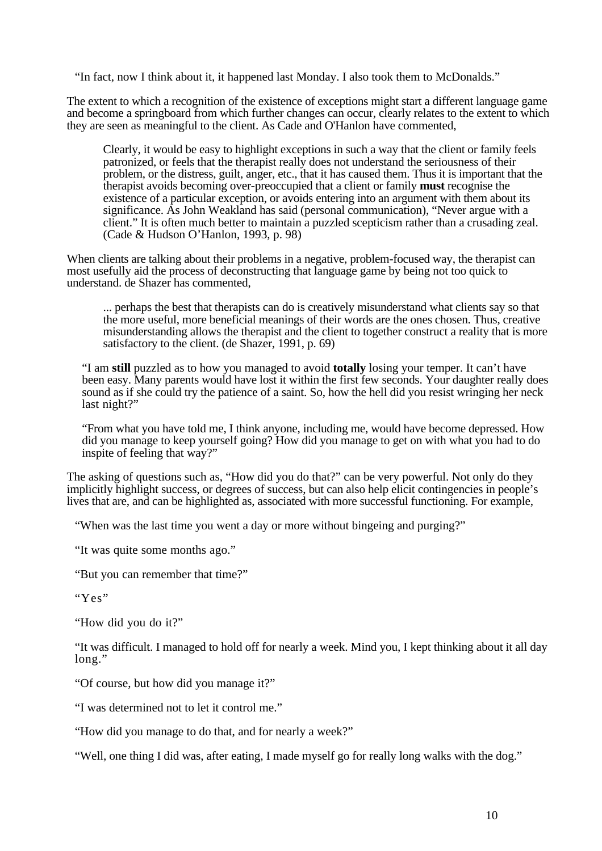"In fact, now I think about it, it happened last Monday. I also took them to McDonalds."

The extent to which a recognition of the existence of exceptions might start a different language game and become a springboard from which further changes can occur, clearly relates to the extent to which they are seen as meaningful to the client. As Cade and O'Hanlon have commented,

Clearly, it would be easy to highlight exceptions in such a way that the client or family feels patronized, or feels that the therapist really does not understand the seriousness of their problem, or the distress, guilt, anger, etc., that it has caused them. Thus it is important that the therapist avoids becoming over-preoccupied that a client or family **must** recognise the existence of a particular exception, or avoids entering into an argument with them about its significance. As John Weakland has said (personal communication), "Never argue with a client." It is often much better to maintain a puzzled scepticism rather than a crusading zeal. (Cade & Hudson O'Hanlon, 1993, p. 98)

When clients are talking about their problems in a negative, problem-focused way, the therapist can most usefully aid the process of deconstructing that language game by being not too quick to understand. de Shazer has commented,

... perhaps the best that therapists can do is creatively misunderstand what clients say so that the more useful, more beneficial meanings of their words are the ones chosen. Thus, creative misunderstanding allows the therapist and the client to together construct a reality that is more satisfactory to the client. (de Shazer, 1991, p. 69)

"I am **still** puzzled as to how you managed to avoid **totally** losing your temper. It can't have been easy. Many parents would have lost it within the first few seconds. Your daughter really does sound as if she could try the patience of a saint. So, how the hell did you resist wringing her neck last night?"

"From what you have told me, I think anyone, including me, would have become depressed. How did you manage to keep yourself going? How did you manage to get on with what you had to do inspite of feeling that way?"

The asking of questions such as, "How did you do that?" can be very powerful. Not only do they implicitly highlight success, or degrees of success, but can also help elicit contingencies in people's lives that are, and can be highlighted as, associated with more successful functioning. For example,

"When was the last time you went a day or more without bingeing and purging?"

"It was quite some months ago."

"But you can remember that time?"

"Yes"

"How did you do it?"

"It was difficult. I managed to hold off for nearly a week. Mind you, I kept thinking about it all day long."

"Of course, but how did you manage it?"

"I was determined not to let it control me."

"How did you manage to do that, and for nearly a week?"

"Well, one thing I did was, after eating, I made myself go for really long walks with the dog."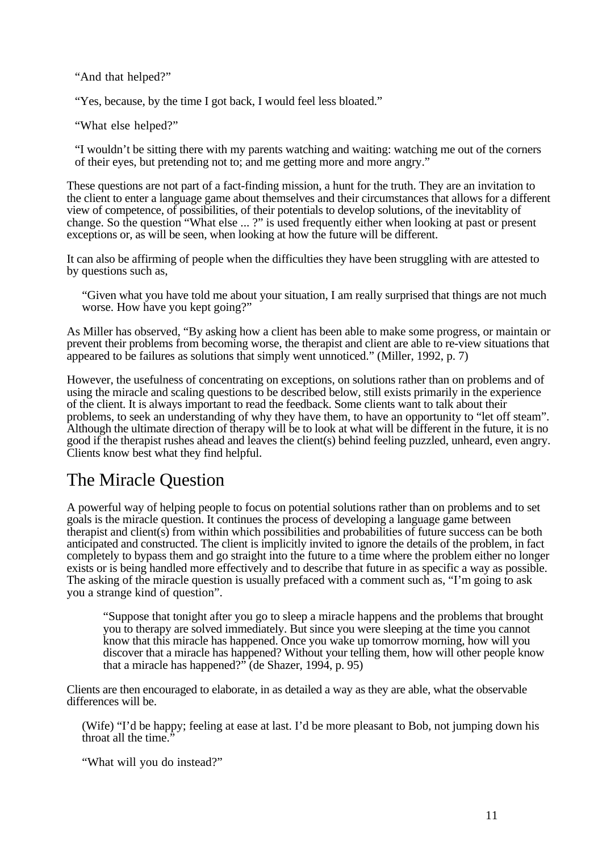"And that helped?"

"Yes, because, by the time I got back, I would feel less bloated."

"What else helped?"

"I wouldn't be sitting there with my parents watching and waiting: watching me out of the corners of their eyes, but pretending not to; and me getting more and more angry."

These questions are not part of a fact-finding mission, a hunt for the truth. They are an invitation to the client to enter a language game about themselves and their circumstances that allows for a different view of competence, of possibilities, of their potentials to develop solutions, of the inevitablity of change. So the question "What else ... ?" is used frequently either when looking at past or present exceptions or, as will be seen, when looking at how the future will be different.

It can also be affirming of people when the difficulties they have been struggling with are attested to by questions such as,

"Given what you have told me about your situation, I am really surprised that things are not much worse. How have you kept going?"

As Miller has observed, "By asking how a client has been able to make some progress, or maintain or prevent their problems from becoming worse, the therapist and client are able to re-view situations that appeared to be failures as solutions that simply went unnoticed." (Miller, 1992, p. 7)

However, the usefulness of concentrating on exceptions, on solutions rather than on problems and of using the miracle and scaling questions to be described below, still exists primarily in the experience of the client. It is always important to read the feedback. Some clients want to talk about their problems, to seek an understanding of why they have them, to have an opportunity to "let off steam". Although the ultimate direction of therapy will be to look at what will be different in the future, it is no good if the therapist rushes ahead and leaves the client(s) behind feeling puzzled, unheard, even angry. Clients know best what they find helpful.

## The Miracle Question

A powerful way of helping people to focus on potential solutions rather than on problems and to set goals is the miracle question. It continues the process of developing a language game between  $t$ herapist and client $(s)$  from within which possibilities and probabilities of future success can be both anticipated and constructed. The client is implicitly invited to ignore the details of the problem, in fact completely to bypass them and go straight into the future to a time where the problem either no longer exists or is being handled more effectively and to describe that future in as specific a way as possible. The asking of the miracle question is usually prefaced with a comment such as, "I'm going to ask you a strange kind of question".

"Suppose that tonight after you go to sleep a miracle happens and the problems that brought you to therapy are solved immediately. But since you were sleeping at the time you cannot know that this miracle has happened. Once you wake up tomorrow morning, how will you discover that a miracle has happened? Without your telling them, how will other people know that a miracle has happened?" (de Shazer, 1994, p. 95)

Clients are then encouraged to elaborate, in as detailed a way as they are able, what the observable differences will be.

(Wife) "I'd be happy; feeling at ease at last. I'd be more pleasant to Bob, not jumping down his throat all the time."

"What will you do instead?"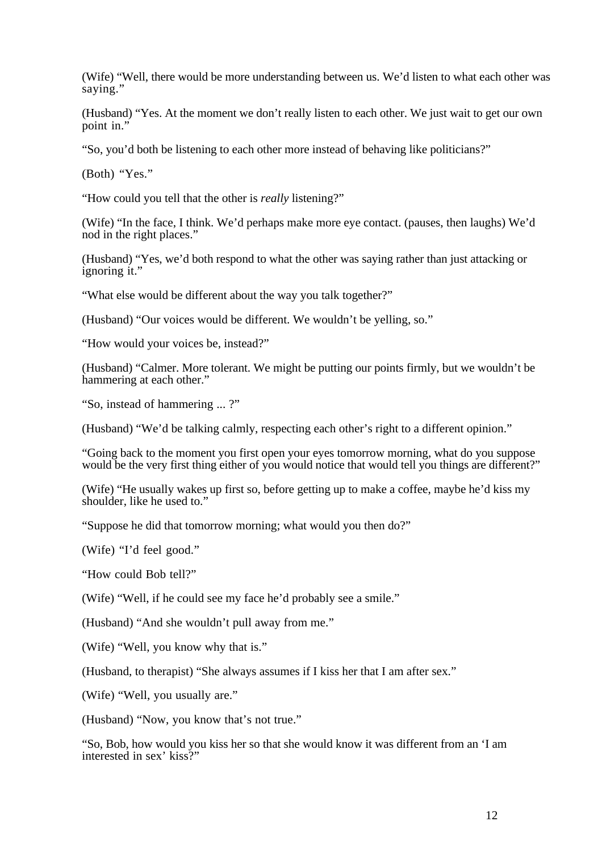(Wife) "Well, there would be more understanding between us. We'd listen to what each other was saying."

(Husband) "Yes. At the moment we don't really listen to each other. We just wait to get our own point in."

"So, you'd both be listening to each other more instead of behaving like politicians?"

(Both) "Yes."

"How could you tell that the other is *really* listening?"

(Wife) "In the face, I think. We'd perhaps make more eye contact. (pauses, then laughs) We'd nod in the right places."

(Husband) "Yes, we'd both respond to what the other was saying rather than just attacking or ignoring it."

"What else would be different about the way you talk together?"

(Husband) "Our voices would be different. We wouldn't be yelling, so."

"How would your voices be, instead?"

(Husband) "Calmer. More tolerant. We might be putting our points firmly, but we wouldn't be hammering at each other."

"So, instead of hammering ... ?"

(Husband) "We'd be talking calmly, respecting each other's right to a different opinion."

"Going back to the moment you first open your eyes tomorrow morning, what do you suppose would be the very first thing either of you would notice that would tell you things are different?"

(Wife) "He usually wakes up first so, before getting up to make a coffee, maybe he'd kiss my shoulder, like he used to."

"Suppose he did that tomorrow morning; what would you then do?"

(Wife) "I'd feel good."

"How could Bob tell?"

(Wife) "Well, if he could see my face he'd probably see a smile."

(Husband) "And she wouldn't pull away from me."

(Wife) "Well, you know why that is."

(Husband, to therapist) "She always assumes if I kiss her that I am after sex."

(Wife) "Well, you usually are."

(Husband) "Now, you know that's not true."

"So, Bob, how would you kiss her so that she would know it was different from an 'I am interested in sex' kiss?"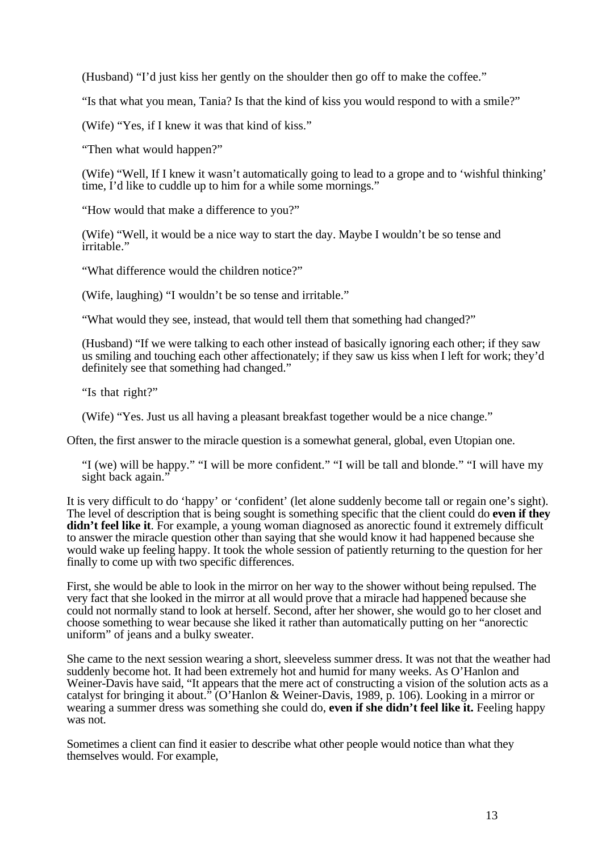(Husband) "I'd just kiss her gently on the shoulder then go off to make the coffee."

"Is that what you mean, Tania? Is that the kind of kiss you would respond to with a smile?"

(Wife) "Yes, if I knew it was that kind of kiss."

"Then what would happen?"

(Wife) "Well, If I knew it wasn't automatically going to lead to a grope and to 'wishful thinking' time, I'd like to cuddle up to him for a while some mornings."

"How would that make a difference to you?"

(Wife) "Well, it would be a nice way to start the day. Maybe I wouldn't be so tense and irritable."

"What difference would the children notice?"

(Wife, laughing) "I wouldn't be so tense and irritable."

"What would they see, instead, that would tell them that something had changed?"

(Husband) "If we were talking to each other instead of basically ignoring each other; if they saw us smiling and touching each other affectionately; if they saw us kiss when I left for work; they'd definitely see that something had changed."

"Is that right?"

(Wife) "Yes. Just us all having a pleasant breakfast together would be a nice change."

Often, the first answer to the miracle question is a somewhat general, global, even Utopian one.

"I (we) will be happy." "I will be more confident." "I will be tall and blonde." "I will have my sight back again."

It is very difficult to do 'happy' or 'confident' (let alone suddenly become tall or regain one's sight). The level of description that is being sought is something specific that the client could do **even if they** didn't feel like it. For example, a young woman diagnosed as anorectic found it extremely difficult to answer the miracle question other than saying that she would know it had happened because she would wake up feeling happy. It took the whole session of patiently returning to the question for her finally to come up with two specific differences.

First, she would be able to look in the mirror on her way to the shower without being repulsed. The very fact that she looked in the mirror at all would prove that a miracle had happened because she could not normally stand to look at herself. Second, after her shower, she would go to her closet and choose something to wear because she liked it rather than automatically putting on her "anorectic uniform" of jeans and a bulky sweater.

She came to the next session wearing a short, sleeveless summer dress. It was not that the weather had suddenly become hot. It had been extremely hot and humid for many weeks. As O'Hanlon and Weiner-Davis have said, "It appears that the mere act of constructing a vision of the solution acts as a catalyst for bringing it about." (O'Hanlon & Weiner-Davis, 1989, p. 106). Looking in a mirror or wearing a summer dress was something she could do, **even if she didn't feel like it.** Feeling happy was not.

Sometimes a client can find it easier to describe what other people would notice than what they themselves would. For example,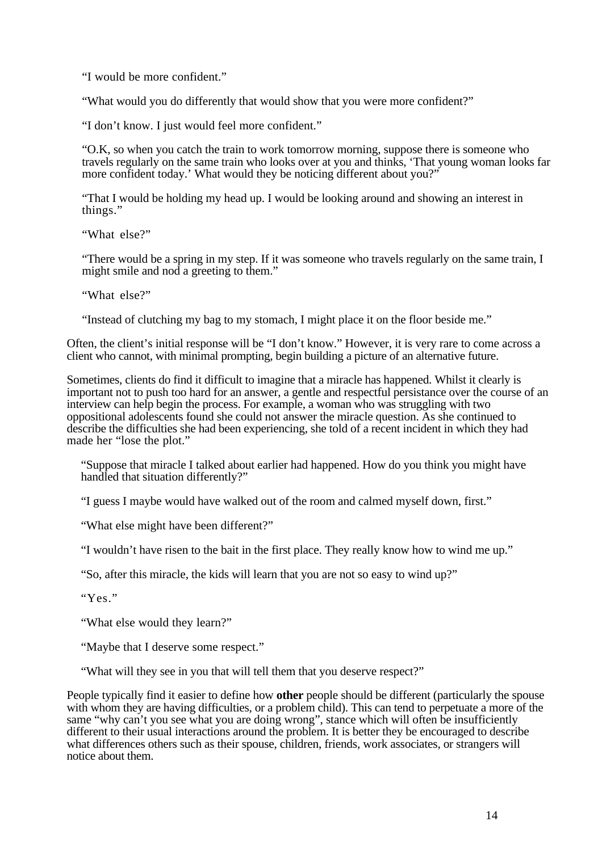"I would be more confident."

"What would you do differently that would show that you were more confident?"

"I don't know. I just would feel more confident."

"O.K, so when you catch the train to work tomorrow morning, suppose there is someone who travels regularly on the same train who looks over at you and thinks, 'That young woman looks far more confident today.' What would they be noticing different about you?"

"That I would be holding my head up. I would be looking around and showing an interest in things."

"What else?"

"There would be a spring in my step. If it was someone who travels regularly on the same train, I might smile and nod a greeting to them."

"What else?"

"Instead of clutching my bag to my stomach, I might place it on the floor beside me."

Often, the client's initial response will be "I don't know." However, it is very rare to come across a client who cannot, with minimal prompting, begin building a picture of an alternative future.

Sometimes, clients do find it difficult to imagine that a miracle has happened. Whilst it clearly is important not to push too hard for an answer, a gentle and respectful persistance over the course of an interview can help begin the process. For example, a woman who was struggling with two oppositional adolescents found she could not answer the miracle question. As she continued to describe the difficulties she had been experiencing, she told of a recent incident in which they had made her "lose the plot."

"Suppose that miracle I talked about earlier had happened. How do you think you might have handled that situation differently?"

"I guess I maybe would have walked out of the room and calmed myself down, first."

"What else might have been different?"

"I wouldn't have risen to the bait in the first place. They really know how to wind me up."

"So, after this miracle, the kids will learn that you are not so easy to wind up?"

"Yes."

"What else would they learn?"

"Maybe that I deserve some respect."

"What will they see in you that will tell them that you deserve respect?"

People typically find it easier to define how **other** people should be different (particularly the spouse with whom they are having difficulties, or a problem child). This can tend to perpetuate a more of the same "why can't you see what you are doing wrong", stance which will often be insufficiently different to their usual interactions around the problem. It is better they be encouraged to describe what differences others such as their spouse, children, friends, work associates, or strangers will notice about them.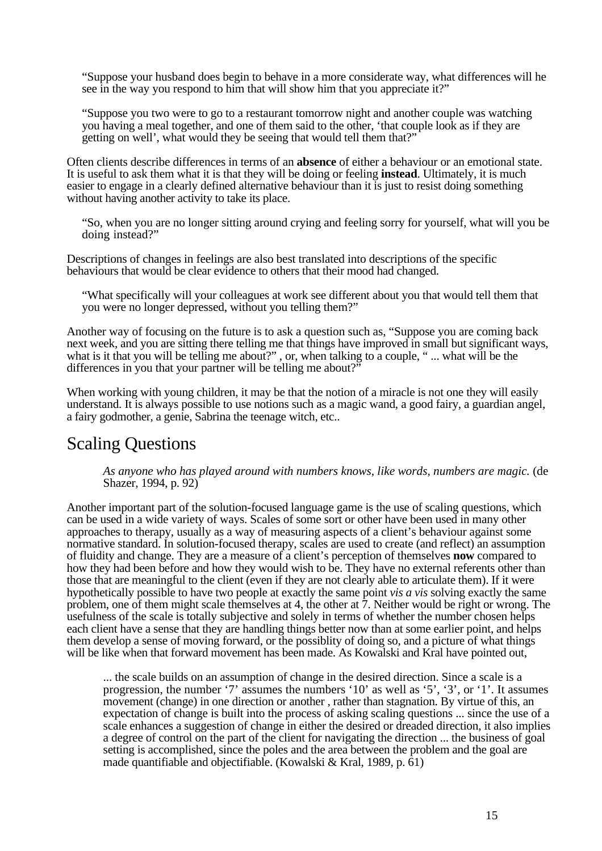"Suppose your husband does begin to behave in a more considerate way, what differences will he see in the way you respond to him that will show him that you appreciate it?"

"Suppose you two were to go to a restaurant tomorrow night and another couple was watching you having a meal together, and one of them said to the other, 'that couple look as if they are getting on well', what would they be seeing that would tell them that?"

Often clients describe differences in terms of an **absence** of either a behaviour or an emotional state. It is useful to ask them what it is that they will be doing or feeling **instead**. Ultimately, it is much easier to engage in a clearly defined alternative behaviour than it is just to resist doing something without having another activity to take its place.

"So, when you are no longer sitting around crying and feeling sorry for yourself, what will you be doing instead?"

Descriptions of changes in feelings are also best translated into descriptions of the specific behaviours that would be clear evidence to others that their mood had changed.

"What specifically will your colleagues at work see different about you that would tell them that you were no longer depressed, without you telling them?"

Another way of focusing on the future is to ask a question such as, "Suppose you are coming back next week, and you are sitting there telling me that things have improved in small but significant ways, what is it that you will be telling me about?", or, when talking to a couple, "... what will be the differences in you that your partner will be telling me about?"

When working with young children, it may be that the notion of a miracle is not one they will easily understand. It is always possible to use notions such as a magic wand, a good fairy, a guardian angel, a fairy godmother, a genie, Sabrina the teenage witch, etc..

#### Scaling Questions

*As anyone who has played around with numbers knows, like words, numbers are magic.* (de Shazer, 1994, p. 92)

Another important part of the solution-focused language game is the use of scaling questions, which can be used in a wide variety of ways. Scales of some sort or other have been used in many other approaches to therapy, usually as a way of measuring aspects of a client's behaviour against some normative standard. In solution-focused therapy, scales are used to create (and reflect) an assumption of fluidity and change. They are a measure of a client's perception of themselves **now** compared to how they had been before and how they would wish to be. They have no external referents other than those that are meaningful to the client (even if they are not clearly able to articulate them). If it were hypothetically possible to have two people at exactly the same point *vis a vis* solving exactly the same problem, one of them might scale themselves at 4, the other at 7. Neither would be right or wrong. The usefulness of the scale is totally subjective and solely in terms of whether the number chosen helps each client have a sense that they are handling things better now than at some earlier point, and helps them develop a sense of moving forward, or the possiblity of doing so, and a picture of what things will be like when that forward movement has been made. As Kowalski and Kral have pointed out,

... the scale builds on an assumption of change in the desired direction. Since a scale is a progression, the number '7' assumes the numbers '10' as well as '5', '3', or '1'. It assumes movement (change) in one direction or another , rather than stagnation. By virtue of this, an expectation of change is built into the process of asking scaling questions ... since the use of a scale enhances a suggestion of change in either the desired or dreaded direction, it also implies a degree of control on the part of the client for navigating the direction ... the business of goal setting is accomplished, since the poles and the area between the problem and the goal are made quantifiable and objectifiable. (Kowalski & Kral, 1989, p. 61)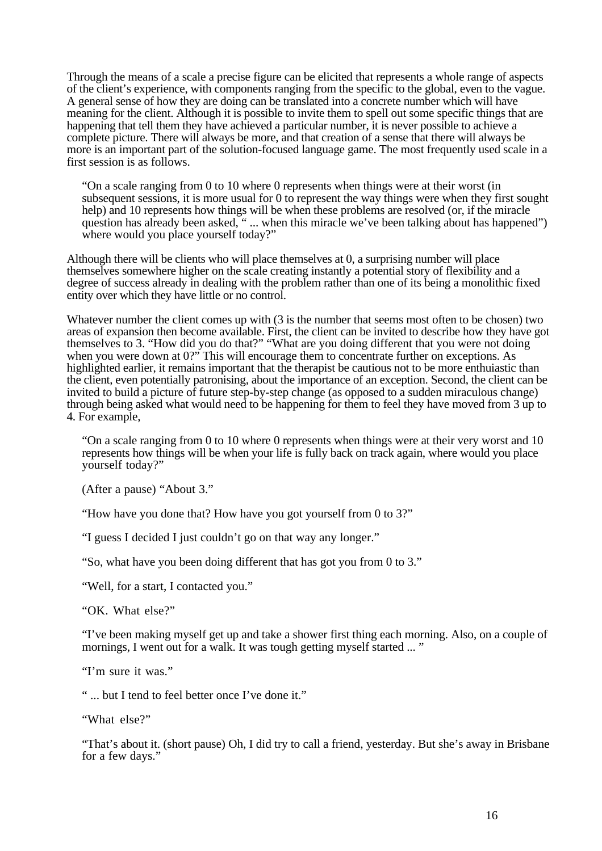Through the means of a scale a precise figure can be elicited that represents a whole range of aspects of the client's experience, with components ranging from the specific to the global, even to the vague. A general sense of how they are doing can be translated into a concrete number which will have meaning for the client. Although it is possible to invite them to spell out some specific things that are happening that tell them they have achieved a particular number, it is never possible to achieve a complete picture. There will always be more, and that creation of a sense that there will always be more is an important part of the solution-focused language game. The most frequently used scale in a first session is as follows.

"On a scale ranging from 0 to 10 where 0 represents when things were at their worst (in subsequent sessions, it is more usual for 0 to represent the way things were when they first sought help) and 10 represents how things will be when these problems are resolved (or, if the miracle question has already been asked, "... when this miracle we've been talking about has happened") where would you place yourself today?"

Although there will be clients who will place themselves at 0, a surprising number will place themselves somewhere higher on the scale creating instantly a potential story of flexibility and a degree of success already in dealing with the problem rather than one of its being a monolithic fixed entity over which they have little or no control.

Whatever number the client comes up with (3 is the number that seems most often to be chosen) two areas of expansion then become available. First, the client can be invited to describe how they have got themselves to 3. "How did you do that?" "What are you doing different that you were not doing when you were down at 0?" This will encourage them to concentrate further on exceptions. As highlighted earlier, it remains important that the therapist be cautious not to be more enthuiastic than the client, even potentially patronising, about the importance of an exception. Second, the client can be invited to build a picture of future step-by-step change (as opposed to a sudden miraculous change) through being asked what would need to be happening for them to feel they have moved from 3 up to 4. For example,

"On a scale ranging from 0 to 10 where 0 represents when things were at their very worst and 10 represents how things will be when your life is fully back on track again, where would you place yourself today?"

(After a pause) "About 3."

"How have you done that? How have you got yourself from 0 to 3?"

"I guess I decided I just couldn't go on that way any longer."

"So, what have you been doing different that has got you from 0 to 3."

"Well, for a start, I contacted you."

"OK. What else?"

"I've been making myself get up and take a shower first thing each morning. Also, on a couple of mornings, I went out for a walk. It was tough getting myself started ... "

"I'm sure it was."

" ... but I tend to feel better once I've done it."

"What else?"

"That's about it. (short pause) Oh, I did try to call a friend, yesterday. But she's away in Brisbane for a few days."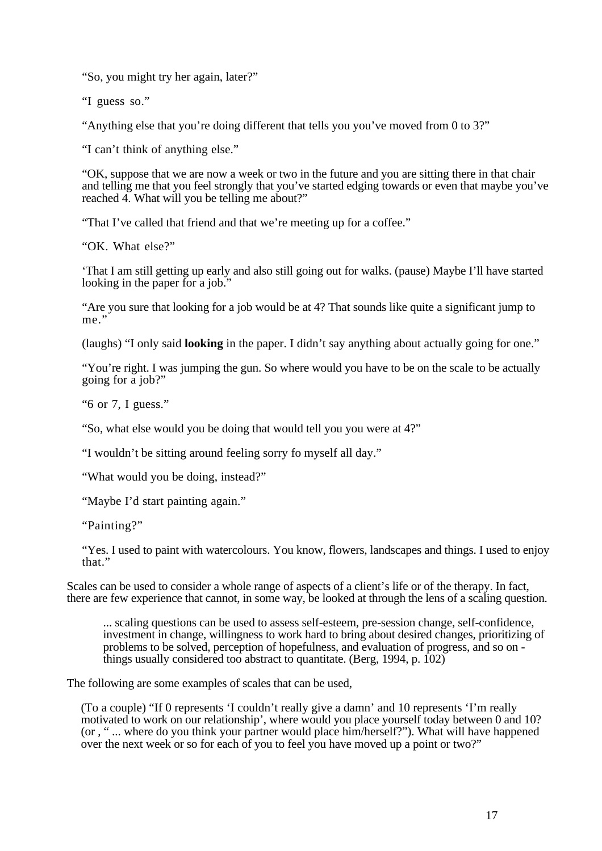"So, you might try her again, later?"

"I guess so."

"Anything else that you're doing different that tells you you've moved from 0 to 3?"

"I can't think of anything else."

"OK, suppose that we are now a week or two in the future and you are sitting there in that chair and telling me that you feel strongly that you've started edging towards or even that maybe you've reached 4. What will you be telling me about?"

"That I've called that friend and that we're meeting up for a coffee."

"OK. What else?"

'That I am still getting up early and also still going out for walks. (pause) Maybe I'll have started looking in the paper for a job."

"Are you sure that looking for a job would be at 4? That sounds like quite a significant jump to me."

(laughs) "I only said **looking** in the paper. I didn't say anything about actually going for one."

"You're right. I was jumping the gun. So where would you have to be on the scale to be actually going for a job?"

"6 or 7, I guess."

"So, what else would you be doing that would tell you you were at 4?"

"I wouldn't be sitting around feeling sorry fo myself all day."

"What would you be doing, instead?"

"Maybe I'd start painting again."

"Painting?"

"Yes. I used to paint with watercolours. You know, flowers, landscapes and things. I used to enjoy that."

Scales can be used to consider a whole range of aspects of a client's life or of the therapy. In fact, there are few experience that cannot, in some way, be looked at through the lens of a scaling question.

... scaling questions can be used to assess self-esteem, pre-session change, self-confidence, investment in change, willingness to work hard to bring about desired changes, prioritizing of problems to be solved, perception of hopefulness, and evaluation of progress, and so on things usually considered too abstract to quantitate. (Berg, 1994, p.  $102$ )

The following are some examples of scales that can be used,

(To a couple) "If 0 represents 'I couldn't really give a damn' and 10 represents 'I'm really motivated to work on our relationship', where would you place yourself today between 0 and 10? (or , " ... where do you think your partner would place him/herself?"). What will have happened over the next week or so for each of you to feel you have moved up a point or two?"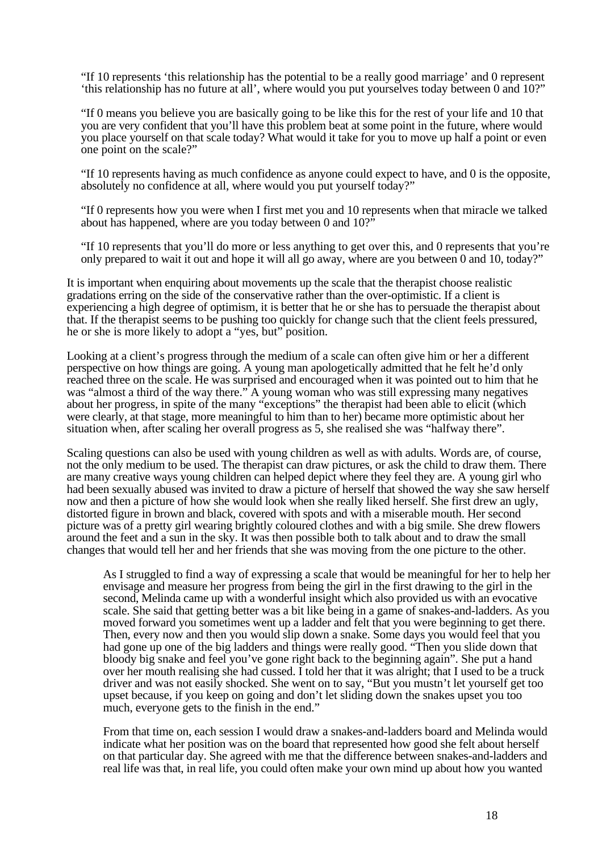"If 10 represents 'this relationship has the potential to be a really good marriage' and 0 represent 'this relationship has no future at all', where would you put yourselves today between 0 and 10?"

"If 0 means you believe you are basically going to be like this for the rest of your life and 10 that you are very confident that you'll have this problem beat at some point in the future, where would you place yourself on that scale today? What would it take for you to move up half a point or even one point on the scale?"

"If 10 represents having as much confidence as anyone could expect to have, and 0 is the opposite, absolutely no confidence at all, where would you put yourself today?"

"If 0 represents how you were when I first met you and 10 represents when that miracle we talked about has happened, where are you today between 0 and 10?"

"If 10 represents that you'll do more or less anything to get over this, and 0 represents that you're only prepared to wait it out and hope it will all go away, where are you between 0 and 10, today?"

It is important when enquiring about movements up the scale that the therapist choose realistic gradations erring on the side of the conservative rather than the over-optimistic. If a client is experiencing a high degree of optimism, it is better that he or she has to persuade the therapist about that. If the therapist seems to be pushing too quickly for change such that the client feels pressured, he or she is more likely to adopt a "yes, but" position.

Looking at a client's progress through the medium of a scale can often give him or her a different perspective on how things are going. A young man apologetically admitted that he felt he'd only reached three on the scale. He was surprised and encouraged when it was pointed out to him that he was "almost a third of the way there." A young woman who was still expressing many negatives about her progress, in spite of the many "exceptions" the therapist had been able to elicit (which were clearly, at that stage, more meaningful to him than to her) became more optimistic about her situation when, after scaling her overall progress as 5, she realised she was "halfway there".

Scaling questions can also be used with young children as well as with adults. Words are, of course, not the only medium to be used. The therapist can draw pictures, or ask the child to draw them. There are many creative ways young children can helped depict where they feel they are. A young girl who had been sexually abused was invited to draw a picture of herself that showed the way she saw herself now and then a picture of how she would look when she really liked herself. She first drew an ugly, distorted figure in brown and black, covered with spots and with a miserable mouth. Her second picture was of a pretty girl wearing brightly coloured clothes and with a big smile. She drew flowers around the feet and a sun in the sky. It was then possible both to talk about and to draw the small changes that would tell her and her friends that she was moving from the one picture to the other.

As I struggled to find a way of expressing a scale that would be meaningful for her to help her envisage and measure her progress from being the girl in the first drawing to the girl in the second, Melinda came up with a wonderful insight which also provided us with an evocative scale. She said that getting better was a bit like being in a game of snakes-and-ladders. As you moved forward you sometimes went up a ladder and felt that you were beginning to get there. Then, every now and then you would slip down a snake. Some days you would feel that you had gone up one of the big ladders and things were really good. "Then you slide down that bloody big snake and feel you've gone right back to the beginning again". She put a hand over her mouth realising she had cussed. I told her that it was alright; that I used to be a truck driver and was not easily shocked. She went on to say, "But you mustn't let yourself get too upset because, if you keep on going and don't let sliding down the snakes upset you too much, everyone gets to the finish in the end."

From that time on, each session I would draw a snakes-and-ladders board and Melinda would indicate what her position was on the board that represented how good she felt about herself on that particular day. She agreed with me that the difference between snakes-and-ladders and real life was that, in real life, you could often make your own mind up about how you wanted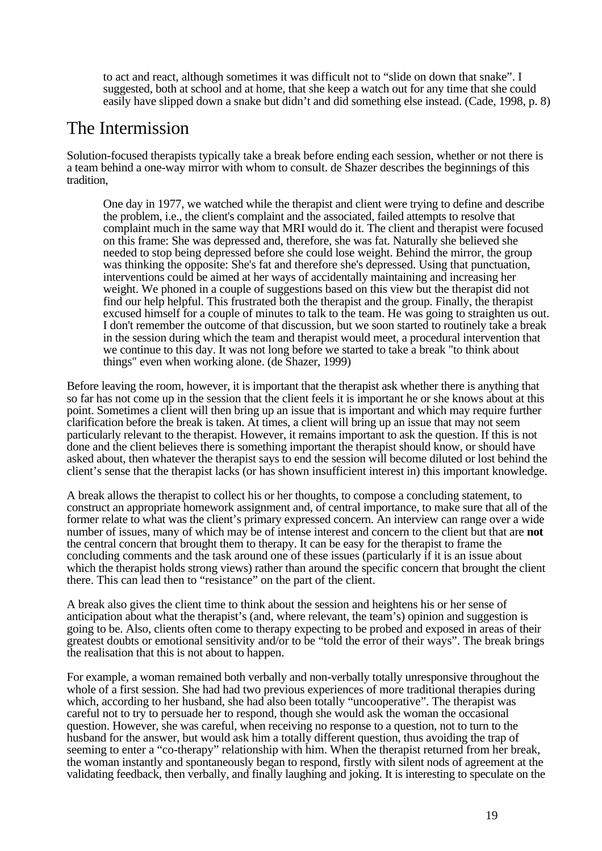to act and react, although sometimes it was difficult not to "slide on down that snake". I suggested, both at school and at home, that she keep a watch out for any time that she could easily have slipped down a snake but didn't and did something else instead. (Cade, 1998, p. 8)

### The Intermission

Solution-focused therapists typically take a break before ending each session, whether or not there is a team behind a one-way mirror with whom to consult. de Shazer describes the beginnings of this tradition,

One day in 1977, we watched while the therapist and client were trying to define and describe the problem, i.e., the client's complaint and the associated, failed attempts to resolve that complaint much in the same way that MRI would do it. The client and therapist were focused on this frame: She was depressed and, therefore, she was fat. Naturally she believed she needed to stop being depressed before she could lose weight. Behind the mirror, the group was thinking the opposite: She's fat and therefore she's depressed. Using that punctuation, interventions could be aimed at her ways of accidentally maintaining and increasing her weight. We phoned in a couple of suggestions based on this view but the therapist did not find our help helpful. This frustrated both the therapist and the group. Finally, the therapist excused himself for a couple of minutes to talk to the team. He was going to straighten us out. I don't remember the outcome of that discussion, but we soon started to routinely take a break in the session during which the team and therapist would meet, a procedural intervention that we continue to this day. It was not long before we started to take a break "to think about things" even when working alone. (de Shazer, 1999)

Before leaving the room, however, it is important that the therapist ask whether there is anything that so far has not come up in the session that the client feels it is important he or she knows about at this point. Sometimes a client will then bring up an issue that is important and which may require further clarification before the break is taken. At times, a client will bring up an issue that may not seem particularly relevant to the therapist. However, it remains important to ask the question. If this is not done and the client believes there is something important the therapist should know, or should have asked about, then whatever the therapist says to end the session will become diluted or lost behind the client's sense that the therapist lacks (or has shown insufficient interest in) this important knowledge.

A break allows the therapist to collect his or her thoughts, to compose a concluding statement, to construct an appropriate homework assignment and, of central importance, to make sure that all of the former relate to what was the client's primary expressed concern. An interview can range over a wide number of issues, many of which may be of intense interest and concern to the client but that are **not** the central concern that brought them to therapy. It can be easy for the therapist to frame the concluding comments and the task around one of these issues (particularly if it is an issue about which the therapist holds strong views) rather than around the specific concern that brought the client there. This can lead then to "resistance" on the part of the client.

A break also gives the client time to think about the session and heightens his or her sense of anticipation about what the therapist's (and, where relevant, the team's) opinion and suggestion is going to be. Also, clients often come to therapy expecting to be probed and exposed in areas of their greatest doubts or emotional sensitivity and/or to be "told the error of their ways". The break brings the realisation that this is not about to happen.

For example, a woman remained both verbally and non-verbally totally unresponsive throughout the whole of a first session. She had had two previous experiences of more traditional therapies during which, according to her husband, she had also been totally "uncooperative". The therapist was careful not to try to persuade her to respond, though she would ask the woman the occasional question. However, she was careful, when receiving no response to a question, not to turn to the husband for the answer, but would ask him a totally different question, thus avoiding the trap of seeming to enter a "co-therapy" relationship with him. When the therapist returned from her break, the woman instantly and spontaneously began to respond, firstly with silent nods of agreement at the validating feedback, then verbally, and finally laughing and joking. It is interesting to speculate on the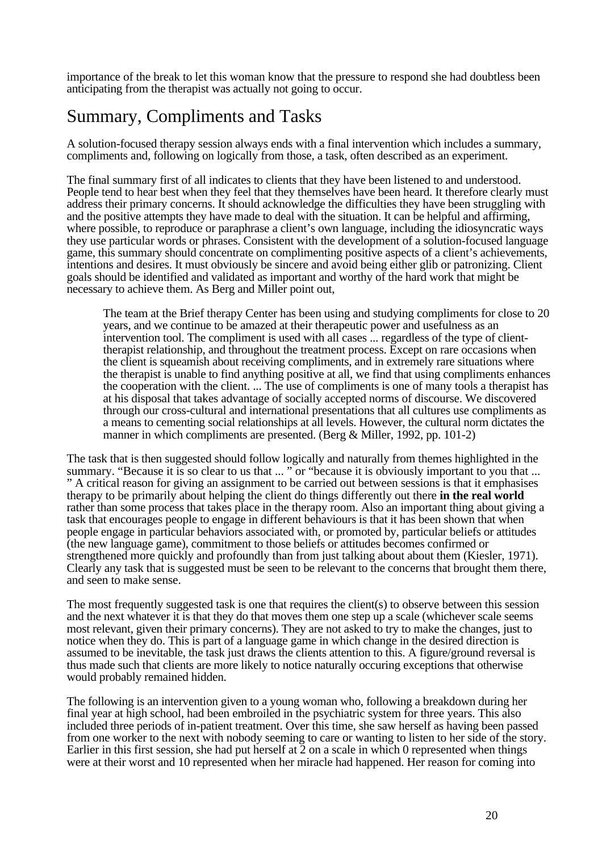importance of the break to let this woman know that the pressure to respond she had doubtless been anticipating from the therapist was actually not going to occur.

# Summary, Compliments and Tasks

A solution-focused therapy session always ends with a final intervention which includes a summary, compliments and, following on logically from those, a task, often described as an experiment.

The final summary first of all indicates to clients that they have been listened to and understood. People tend to hear best when they feel that they themselves have been heard. It therefore clearly must address their primary concerns. It should acknowledge the difficulties they have been struggling with and the positive attempts they have made to deal with the situation. It can be helpful and affirming, where possible, to reproduce or paraphrase a client's own language, including the idiosyncratic ways they use particular words or phrases. Consistent with the development of a solution-focused language game, this summary should concentrate on complimenting positive aspects of a client's achievements, intentions and desires. It must obviously be sincere and avoid being either glib or patronizing. Client goals should be identified and validated as important and worthy of the hard work that might be necessary to achieve them. As Berg and Miller point out,

The team at the Brief therapy Center has been using and studying compliments for close to 20 years, and we continue to be amazed at their therapeutic power and usefulness as an intervention tool. The compliment is used with all cases ... regardless of the type of clienttherapist relationship, and throughout the treatment process. Except on rare occasions when the client is squeamish about receiving compliments, and in extremely rare situations where the therapist is unable to find anything positive at all, we find that using compliments enhances the cooperation with the client. ... The use of compliments is one of many tools a therapist has at his disposal that takes advantage of socially accepted norms of discourse. We discovered through our cross-cultural and international presentations that all cultures use compliments as a means to cementing social relationships at all levels. However, the cultural norm dictates the manner in which compliments are presented. (Berg & Miller, 1992, pp. 101-2)

The task that is then suggested should follow logically and naturally from themes highlighted in the summary. "Because it is so clear to us that ... " or "because it is obviously important to you that ... " A critical reason for giving an assignment to be carried out between sessions is that it emphasises therapy to be primarily about helping the client do things differently out there **in the real world** rather than some process that takes place in the therapy room. Also an important thing about giving a task that encourages people to engage in different behaviours is that it has been shown that when people engage in particular behaviors associated with, or promoted by, particular beliefs or attitudes (the new language game), commitment to those beliefs or attitudes becomes confirmed or strengthened more quickly and profoundly than from just talking about about them (Kiesler, 1971). Clearly any task that is suggested must be seen to be relevant to the concerns that brought them there, and seen to make sense.

The most frequently suggested task is one that requires the client(s) to observe between this session and the next whatever it is that they do that moves them one step up a scale (whichever scale seems most relevant, given their primary concerns). They are not asked to try to make the changes, just to notice when they do. This is part of a language game in which change in the desired direction is assumed to be inevitable, the task just draws the clients attention to this. A figure/ground reversal is thus made such that clients are more likely to notice naturally occuring exceptions that otherwise would probably remained hidden.

The following is an intervention given to a young woman who, following a breakdown during her final year at high school, had been embroiled in the psychiatric system for three years. This also included three periods of in-patient treatment. Over this time, she saw herself as having been passed from one worker to the next with nobody seeming to care or wanting to listen to her side of the story. Earlier in this first session, she had put herself at 2 on a scale in which 0 represented when things were at their worst and 10 represented when her miracle had happened. Her reason for coming into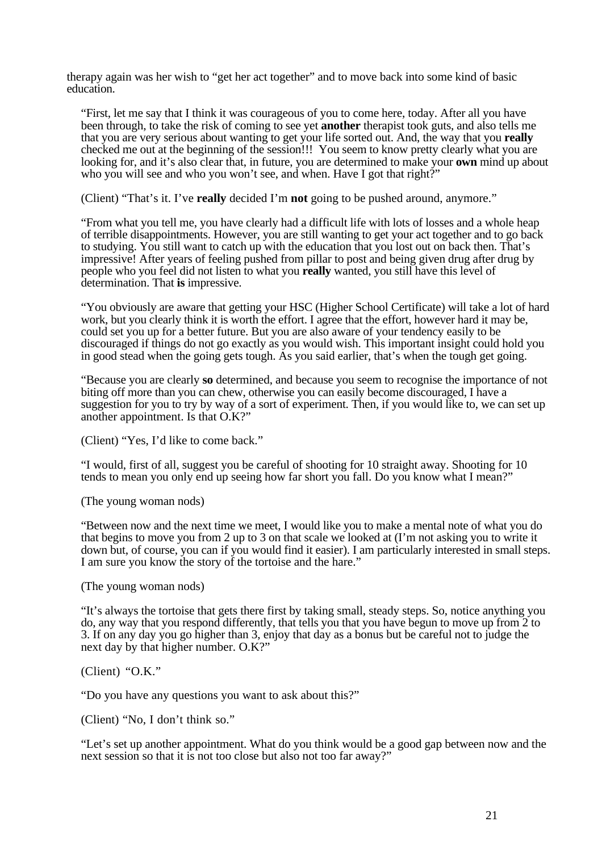therapy again was her wish to "get her act together" and to move back into some kind of basic education.

"First, let me say that I think it was courageous of you to come here, today. After all you have been through, to take the risk of coming to see yet **another** therapist took guts, and also tells me that you are very serious about wanting to get your life sorted out. And, the way that you **really** checked me out at the beginning of the session!!! You seem to know pretty clearly what you are looking for, and it's also clear that, in future, you are determined to make your **own** mind up about who you will see and who you won't see, and when. Have I got that right?"

(Client) "That's it. I've **really** decided I'm **not** going to be pushed around, anymore."

"From what you tell me, you have clearly had a difficult life with lots of losses and a whole heap of terrible disappointments. However, you are still wanting to get your act together and to go back to studying. You still want to catch up with the education that you lost out on back then. That's impressive! After years of feeling pushed from pillar to post and being given drug after drug by people who you feel did not listen to what you **really** wanted, you still have this level of determination. That **is** impressive.

"You obviously are aware that getting your HSC (Higher School Certificate) will take a lot of hard work, but you clearly think it is worth the effort. I agree that the effort, however hard it may be, could set you up for a better future. But you are also aware of your tendency easily to be discouraged if things do not go exactly as you would wish. This important insight could hold you in good stead when the going gets tough. As you said earlier, that's when the tough get going.

"Because you are clearly **so** determined, and because you seem to recognise the importance of not biting off more than you can chew, otherwise you can easily become discouraged, I have a suggestion for you to try by way of a sort of experiment. Then, if you would like to, we can set up another appointment. Is that O.K?"

(Client) "Yes, I'd like to come back."

"I would, first of all, suggest you be careful of shooting for 10 straight away. Shooting for 10 tends to mean you only end up seeing how far short you fall. Do you know what I mean?"

(The young woman nods)

"Between now and the next time we meet, I would like you to make a mental note of what you do that begins to move you from 2 up to 3 on that scale we looked at (I'm not asking you to write it down but, of course, you can if you would find it easier). I am particularly interested in small steps. I am sure you know the story of the tortoise and the hare."

(The young woman nods)

"It's always the tortoise that gets there first by taking small, steady steps. So, notice anything you do, any way that you respond differently, that tells you that you have begun to move up from 2 to 3. If on any day you go higher than 3, enjoy that day as a bonus but be careful not to judge the next day by that higher number. O.K?"

(Client) "O.K."

"Do you have any questions you want to ask about this?"

(Client) "No, I don't think so."

"Let's set up another appointment. What do you think would be a good gap between now and the next session so that it is not too close but also not too far away?"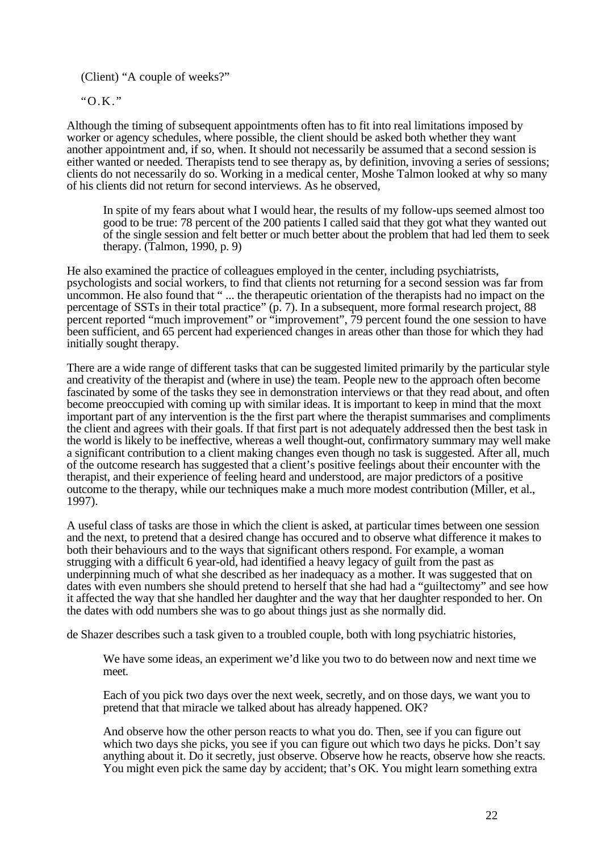(Client) "A couple of weeks?"

"O.K."

Although the timing of subsequent appointments often has to fit into real limitations imposed by worker or agency schedules, where possible, the client should be asked both whether they want another appointment and, if so, when. It should not necessarily be assumed that a second session is either wanted or needed. Therapists tend to see therapy as, by definition, invoving a series of sessions; clients do not necessarily do so. Working in a medical center, Moshe Talmon looked at why so many of his clients did not return for second interviews. As he observed,

In spite of my fears about what I would hear, the results of my follow-ups seemed almost too good to be true: 78 percent of the 200 patients I called said that they got what they wanted out of the single session and felt better or much better about the problem that had led them to seek therapy. (Talmon, 1990, p. 9)

He also examined the practice of colleagues employed in the center, including psychiatrists, psychologists and social workers, to find that clients not returning for a second session was far from uncommon. He also found that " ... the therapeutic orientation of the therapists had no impact on the percentage of SSTs in their total practice" (p. 7). In a subsequent, more formal research project, 88 percent reported "much improvement" or "improvement", 79 percent found the one session to have been sufficient, and 65 percent had experienced changes in areas other than those for which they had initially sought therapy.

There are a wide range of different tasks that can be suggested limited primarily by the particular style and creativity of the therapist and (where in use) the team. People new to the approach often become fascinated by some of the tasks they see in demonstration interviews or that they read about, and often become preoccupied with coming up with similar ideas. It is important to keep in mind that the moxt important part of any intervention is the the first part where the therapist summarises and compliments the client and agrees with their goals. If that first part is not adequately addressed then the best task in the world is likely to be ineffective, whereas a well thought-out, confirmatory summary may well make a significant contribution to a client making changes even though no task is suggested. After all, much of the outcome research has suggested that a client's positive feelings about their encounter with the therapist, and their experience of feeling heard and understood, are major predictors of a positive outcome to the therapy, while our techniques make a much more modest contribution (Miller, et al., 1997).

A useful class of tasks are those in which the client is asked, at particular times between one session and the next, to pretend that a desired change has occured and to observe what difference it makes to both their behaviours and to the ways that significant others respond. For example, a woman strugging with a difficult 6 year-old, had identified a heavy legacy of guilt from the past as underpinning much of what she described as her inadequacy as a mother. It was suggested that on dates with even numbers she should pretend to herself that she had had a "guiltectomy" and see how it affected the way that she handled her daughter and the way that her daughter responded to her. On the dates with odd numbers she was to go about things just as she normally did.

de Shazer describes such a task given to a troubled couple, both with long psychiatric histories,

We have some ideas, an experiment we'd like you two to do between now and next time we meet.

Each of you pick two days over the next week, secretly, and on those days, we want you to pretend that that miracle we talked about has already happened. OK?

And observe how the other person reacts to what you do. Then, see if you can figure out which two days she picks, you see if you can figure out which two days he picks. Don't say anything about it. Do it secretly, just observe. Observe how he reacts, observe how she reacts. You might even pick the same day by accident; that's OK. You might learn something extra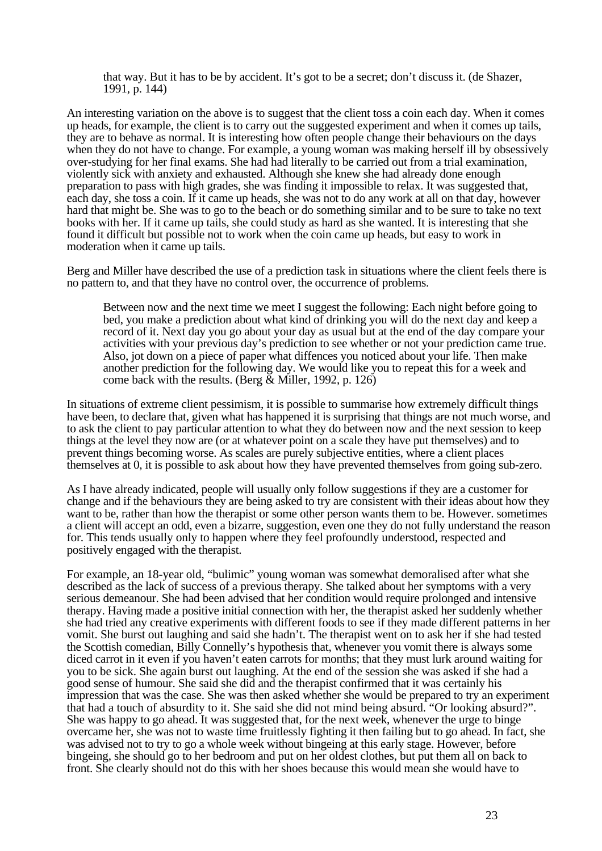that way. But it has to be by accident. It's got to be a secret; don't discuss it. (de Shazer, 1991, p. 144)

An interesting variation on the above is to suggest that the client toss a coin each day. When it comes up heads, for example, the client is to carry out the suggested experiment and when it comes up tails, they are to behave as normal. It is interesting how often people change their behaviours on the days when they do not have to change. For example, a young woman was making herself ill by obsessively over-studying for her final exams. She had had literally to be carried out from a trial examination, violently sick with anxiety and exhausted. Although she knew she had already done enough preparation to pass with high grades, she was finding it impossible to relax. It was suggested that, each day, she toss a coin. If it came up heads, she was not to do any work at all on that day, however hard that might be. She was to go to the beach or do something similar and to be sure to take no text books with her. If it came up tails, she could study as hard as she wanted. It is interesting that she found it difficult but possible not to work when the coin came up heads, but easy to work in moderation when it came up tails.

Berg and Miller have described the use of a prediction task in situations where the client feels there is no pattern to, and that they have no control over, the occurrence of problems.

Between now and the next time we meet I suggest the following: Each night before going to bed, you make a prediction about what kind of drinking you will do the next day and keep a record of it. Next day you go about your day as usual but at the end of the day compare your activities with your previous day's prediction to see whether or not your prediction came true. Also, jot down on a piece of paper what diffences you noticed about your life. Then make another prediction for the following day. We would like you to repeat this for a week and come back with the results. (Berg  $\&$  Miller, 1992, p. 126)

In situations of extreme client pessimism, it is possible to summarise how extremely difficult things have been, to declare that, given what has happened it is surprising that things are not much worse, and to ask the client to pay particular attention to what they do between now and the next session to keep things at the level they now are (or at whatever point on a scale they have put themselves) and to prevent things becoming worse. As scales are purely subjective entities, where a client places themselves at 0, it is possible to ask about how they have prevented themselves from going sub-zero.

As I have already indicated, people will usually only follow suggestions if they are a customer for change and if the behaviours they are being asked to try are consistent with their ideas about how they want to be, rather than how the therapist or some other person wants them to be. However. sometimes a client will accept an odd, even a bizarre, suggestion, even one they do not fully understand the reason for. This tends usually only to happen where they feel profoundly understood, respected and positively engaged with the therapist.

For example, an 18-year old, "bulimic" young woman was somewhat demoralised after what she described as the lack of success of a previous therapy. She talked about her symptoms with a very serious demeanour. She had been advised that her condition would require prolonged and intensive therapy. Having made a positive initial connection with her, the therapist asked her suddenly whether she had tried any creative experiments with different foods to see if they made different patterns in her vomit. She burst out laughing and said she hadn't. The therapist went on to ask her if she had tested the Scottish comedian, Billy Connelly's hypothesis that, whenever you vomit there is always some diced carrot in it even if you haven't eaten carrots for months; that they must lurk around waiting for you to be sick. She again burst out laughing. At the end of the session she was asked if she had a good sense of humour. She said she did and the therapist confirmed that it was certainly his impression that was the case. She was then asked whether she would be prepared to try an experiment that had a touch of absurdity to it. She said she did not mind being absurd. "Or looking absurd?". She was happy to go ahead. It was suggested that, for the next week, whenever the urge to binge overcame her, she was not to waste time fruitlessly fighting it then failing but to go ahead. In fact, she was advised not to try to go a whole week without bingeing at this early stage. However, before bingeing, she should go to her bedroom and put on her oldest clothes, but put them all on back to front. She clearly should not do this with her shoes because this would mean she would have to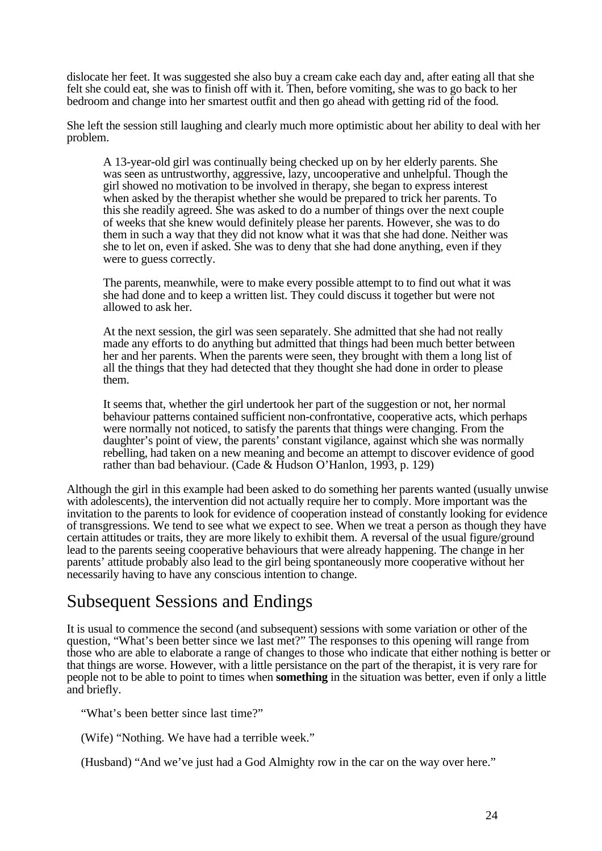dislocate her feet. It was suggested she also buy a cream cake each day and, after eating all that she felt she could eat, she was to finish off with it. Then, before vomiting, she was to go back to her bedroom and change into her smartest outfit and then go ahead with getting rid of the food.

She left the session still laughing and clearly much more optimistic about her ability to deal with her problem.

A 13-year-old girl was continually being checked up on by her elderly parents. She was seen as untrustworthy, aggressive, lazy, uncooperative and unhelpful. Though the girl showed no motivation to be involved in therapy, she began to express interest when asked by the therapist whether she would be prepared to trick her parents. To this she readily agreed. She was asked to do a number of things over the next couple of weeks that she knew would definitely please her parents. However, she was to do them in such a way that they did not know what it was that she had done. Neither was she to let on, even if asked. She was to deny that she had done anything, even if they were to guess correctly.

The parents, meanwhile, were to make every possible attempt to to find out what it was she had done and to keep a written list. They could discuss it together but were not allowed to ask her.

At the next session, the girl was seen separately. She admitted that she had not really made any efforts to do anything but admitted that things had been much better between her and her parents. When the parents were seen, they brought with them a long list of all the things that they had detected that they thought she had done in order to please them.

It seems that, whether the girl undertook her part of the suggestion or not, her normal behaviour patterns contained sufficient non-confrontative, cooperative acts, which perhaps were normally not noticed, to satisfy the parents that things were changing. From the daughter's point of view, the parents' constant vigilance, against which she was normally rebelling, had taken on a new meaning and become an attempt to discover evidence of good rather than bad behaviour. (Cade & Hudson O'Hanlon, 1993, p. 129)

Although the girl in this example had been asked to do something her parents wanted (usually unwise with adolescents), the intervention did not actually require her to comply. More important was the invitation to the parents to look for evidence of cooperation instead of constantly looking for evidence of transgressions. We tend to see what we expect to see. When we treat a person as though they have certain attitudes or traits, they are more likely to exhibit them. A reversal of the usual figure/ground lead to the parents seeing cooperative behaviours that were already happening. The change in her parents' attitude probably also lead to the girl being spontaneously more cooperative without her necessarily having to have any conscious intention to change.

# Subsequent Sessions and Endings

It is usual to commence the second (and subsequent) sessions with some variation or other of the question, "What's been better since we last met?" The responses to this opening will range from those who are able to elaborate a range of changes to those who indicate that either nothing is better or that things are worse. However, with a little persistance on the part of the therapist, it is very rare for people not to be able to point to times when **something** in the situation was better, even if only a little and briefly.

"What's been better since last time?"

(Wife) "Nothing. We have had a terrible week."

(Husband) "And we've just had a God Almighty row in the car on the way over here."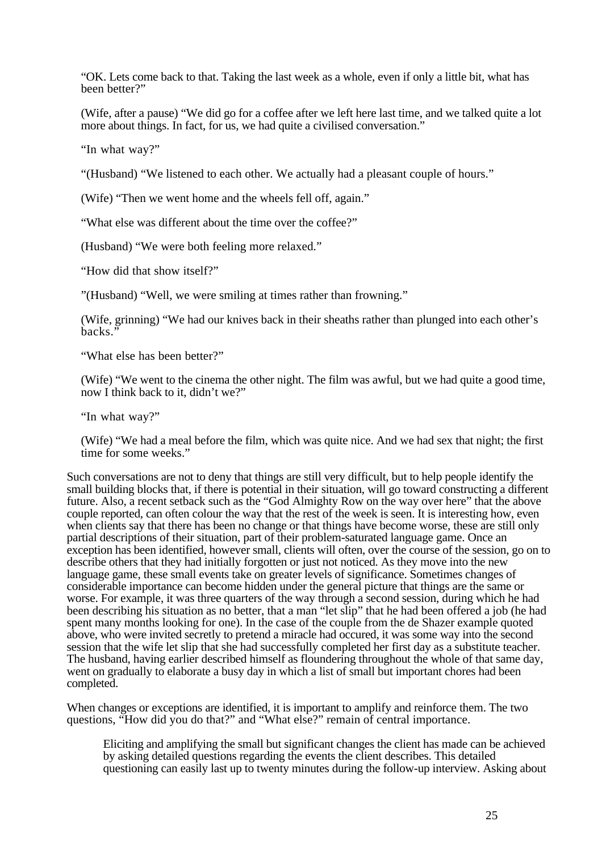"OK. Lets come back to that. Taking the last week as a whole, even if only a little bit, what has been better?"

(Wife, after a pause) "We did go for a coffee after we left here last time, and we talked quite a lot more about things. In fact, for us, we had quite a civilised conversation."

"In what way?"

"(Husband) "We listened to each other. We actually had a pleasant couple of hours."

(Wife) "Then we went home and the wheels fell off, again."

"What else was different about the time over the coffee?"

(Husband) "We were both feeling more relaxed."

"How did that show itself?"

"(Husband) "Well, we were smiling at times rather than frowning."

(Wife, grinning) "We had our knives back in their sheaths rather than plunged into each other's backs."

"What else has been better?"

(Wife) "We went to the cinema the other night. The film was awful, but we had quite a good time, now I think back to it, didn't we?"

"In what way?"

(Wife) "We had a meal before the film, which was quite nice. And we had sex that night; the first time for some weeks."

Such conversations are not to deny that things are still very difficult, but to help people identify the small building blocks that, if there is potential in their situation, will go toward constructing a different future. Also, a recent setback such as the "God Almighty Row on the way over here" that the above couple reported, can often colour the way that the rest of the week is seen. It is interesting how, even when clients say that there has been no change or that things have become worse, these are still only partial descriptions of their situation, part of their problem-saturated language game. Once an exception has been identified, however small, clients will often, over the course of the session, go on to describe others that they had initially forgotten or just not noticed. As they move into the new language game, these small events take on greater levels of significance. Sometimes changes of considerable importance can become hidden under the general picture that things are the same or worse. For example, it was three quarters of the way through a second session, during which he had been describing his situation as no better, that a man "let slip" that he had been offered a job (he had spent many months looking for one). In the case of the couple from the de Shazer example quoted above, who were invited secretly to pretend a miracle had occured, it was some way into the second session that the wife let slip that she had successfully completed her first day as a substitute teacher. The husband, having earlier described himself as floundering throughout the whole of that same day, went on gradually to elaborate a busy day in which a list of small but important chores had been completed.

When changes or exceptions are identified, it is important to amplify and reinforce them. The two questions, "How did you do that?" and "What else?" remain of central importance.

Eliciting and amplifying the small but significant changes the client has made can be achieved by asking detailed questions regarding the events the client describes. This detailed questioning can easily last up to twenty minutes during the follow-up interview. Asking about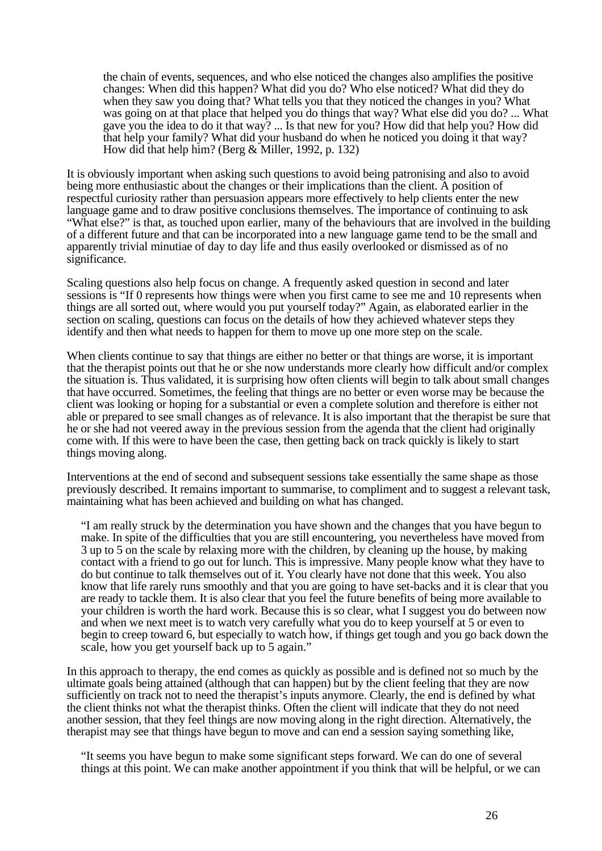the chain of events, sequences, and who else noticed the changes also amplifies the positive changes: When did this happen? What did you do? Who else noticed? What did they do when they saw you doing that? What tells you that they noticed the changes in you? What was going on at that place that helped you do things that way? What else did you do? ... What gave you the idea to do it that way? ... Is that new for you? How did that help you? How did that help your family? What did your husband do when he noticed you doing it that way? How did that help him? (Berg & Miller, 1992, p. 132)

It is obviously important when asking such questions to avoid being patronising and also to avoid being more enthusiastic about the changes or their implications than the client. A position of respectful curiosity rather than persuasion appears more effectively to help clients enter the new language game and to draw positive conclusions themselves. The importance of continuing to ask "What else?" is that, as touched upon earlier, many of the behaviours that are involved in the building of a different future and that can be incorporated into a new language game tend to be the small and apparently trivial minutiae of day to day life and thus easily overlooked or dismissed as of no significance.

Scaling questions also help focus on change. A frequently asked question in second and later sessions is "If 0 represents how things were when you first came to see me and 10 represents when things are all sorted out, where would you put yourself today?" Again, as elaborated earlier in the section on scaling, questions can focus on the details of how they achieved whatever steps they identify and then what needs to happen for them to move up one more step on the scale.

When clients continue to say that things are either no better or that things are worse, it is important that the therapist points out that he or she now understands more clearly how difficult and/or complex the situation is. Thus validated, it is surprising how often clients will begin to talk about small changes that have occurred. Sometimes, the feeling that things are no better or even worse may be because the client was looking or hoping for a substantial or even a complete solution and therefore is either not able or prepared to see small changes as of relevance. It is also important that the therapist be sure that he or she had not veered away in the previous session from the agenda that the client had originally come with. If this were to have been the case, then getting back on track quickly is likely to start things moving along.

Interventions at the end of second and subsequent sessions take essentially the same shape as those previously described. It remains important to summarise, to compliment and to suggest a relevant task, maintaining what has been achieved and building on what has changed.

"I am really struck by the determination you have shown and the changes that you have begun to make. In spite of the difficulties that you are still encountering, you nevertheless have moved from 3 up to 5 on the scale by relaxing more with the children, by cleaning up the house, by making contact with a friend to go out for lunch. This is impressive. Many people know what they have to do but continue to talk themselves out of it. You clearly have not done that this week. You also know that life rarely runs smoothly and that you are going to have set-backs and it is clear that you are ready to tackle them. It is also clear that you feel the future benefits of being more available to your children is worth the hard work. Because this is so clear, what I suggest you do between now and when we next meet is to watch very carefully what you do to keep yourself at 5 or even to begin to creep toward 6, but especially to watch how, if things get tough and you go back down the scale, how you get yourself back up to 5 again."

In this approach to therapy, the end comes as quickly as possible and is defined not so much by the ultimate goals being attained (although that can happen) but by the client feeling that they are now sufficiently on track not to need the therapist's inputs anymore. Clearly, the end is defined by what the client thinks not what the therapist thinks. Often the client will indicate that they do not need another session, that they feel things are now moving along in the right direction. Alternatively, the therapist may see that things have begun to move and can end a session saying something like,

"It seems you have begun to make some significant steps forward. We can do one of several things at this point. We can make another appointment if you think that will be helpful, or we can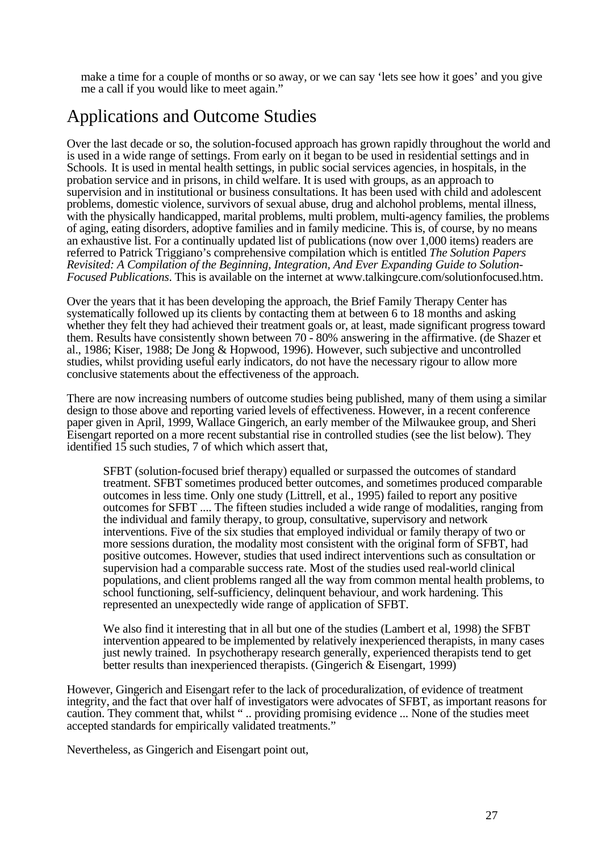make a time for a couple of months or so away, or we can say 'lets see how it goes' and you give me a call if you would like to meet again."

# Applications and Outcome Studies

Over the last decade or so, the solution-focused approach has grown rapidly throughout the world and is used in a wide range of settings. From early on it began to be used in residential settings and in Schools. It is used in mental health settings, in public social services agencies, in hospitals, in the probation service and in prisons, in child welfare. It is used with groups, as an approach to supervision and in institutional or business consultations. It has been used with child and adolescent problems, domestic violence, survivors of sexual abuse, drug and alchohol problems, mental illness, with the physically handicapped, marital problems, multi problem, multi-agency families, the problems of aging, eating disorders, adoptive families and in family medicine. This is, of course, by no means an exhaustive list. For a continually updated list of publications (now over 1,000 items) readers are referred to Patrick Triggiano's comprehensive compilation which is entitled *The Solution Papers Revisited: A Compilation of the Beginning, Integration, And Ever Expanding Guide to Solution-Focused Publications*. This is available on the internet at www.talkingcure.com/solutionfocused.htm.

Over the years that it has been developing the approach, the Brief Family Therapy Center has systematically followed up its clients by contacting them at between 6 to 18 months and asking whether they felt they had achieved their treatment goals or, at least, made significant progress toward them. Results have consistently shown between 70 - 80% answering in the affirmative. (de Shazer et al., 1986; Kiser, 1988; De Jong & Hopwood, 1996). However, such subjective and uncontrolled studies, whilst providing useful early indicators, do not have the necessary rigour to allow more conclusive statements about the effectiveness of the approach.

There are now increasing numbers of outcome studies being published, many of them using a similar design to those above and reporting varied levels of effectiveness. However, in a recent conference paper given in April, 1999, Wallace Gingerich, an early member of the Milwaukee group, and Sheri Eisengart reported on a more recent substantial rise in controlled studies (see the list below). They identified  $15$  such studies, 7 of which which assert that,

SFBT (solution-focused brief therapy) equalled or surpassed the outcomes of standard treatment. SFBT sometimes produced better outcomes, and sometimes produced comparable outcomes in less time. Only one study (Littrell, et al., 1995) failed to report any positive outcomes for SFBT .... The fifteen studies included a wide range of modalities, ranging from the individual and family therapy, to group, consultative, supervisory and network interventions. Five of the six studies that employed individual or family therapy of two or more sessions duration, the modality most consistent with the original form of SFBT, had positive outcomes. However, studies that used indirect interventions such as consultation or supervision had a comparable success rate. Most of the studies used real-world clinical populations, and client problems ranged all the way from common mental health problems, to school functioning, self-sufficiency, delinquent behaviour, and work hardening. This represented an unexpectedly wide range of application of SFBT.

We also find it interesting that in all but one of the studies (Lambert et al, 1998) the SFBT intervention appeared to be implemented by relatively inexperienced therapists, in many cases just newly trained. In psychotherapy research generally, experienced therapists tend to get better results than inexperienced therapists. (Gingerich & Eisengart, 1999)

However, Gingerich and Eisengart refer to the lack of proceduralization, of evidence of treatment integrity, and the fact that over half of investigators were advocates of SFBT, as important reasons for caution. They comment that, whilst " .. providing promising evidence ... None of the studies meet accepted standards for empirically validated treatments."

Nevertheless, as Gingerich and Eisengart point out,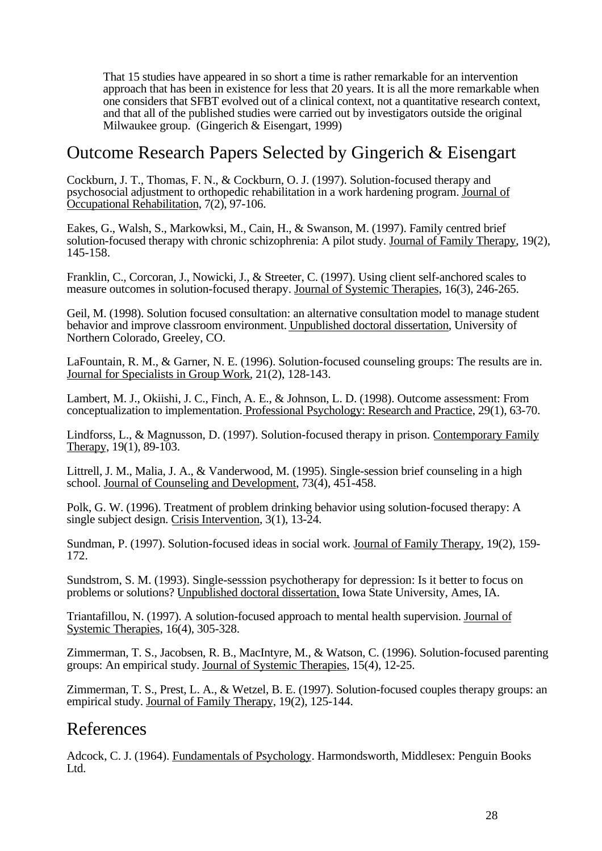That 15 studies have appeared in so short a time is rather remarkable for an intervention approach that has been in existence for less that 20 years. It is all the more remarkable when one considers that SFBT evolved out of a clinical context, not a quantitative research context, and that all of the published studies were carried out by investigators outside the original Milwaukee group. (Gingerich & Eisengart, 1999)

### Outcome Research Papers Selected by Gingerich & Eisengart

Cockburn, J. T., Thomas, F. N., & Cockburn, O. J. (1997). Solution-focused therapy and psychosocial adjustment to orthopedic rehabilitation in a work hardening program. Journal of Occupational Rehabilitation, 7(2), 97-106.

Eakes, G., Walsh, S., Markowksi, M., Cain, H., & Swanson, M. (1997). Family centred brief solution-focused therapy with chronic schizophrenia: A pilot study. Journal of Family Therapy, 19(2), 145-158.

Franklin, C., Corcoran, J., Nowicki, J., & Streeter, C. (1997). Using client self-anchored scales to measure outcomes in solution-focused therapy. Journal of Systemic Therapies, 16(3), 246-265.

Geil, M. (1998). Solution focused consultation: an alternative consultation model to manage student behavior and improve classroom environment. Unpublished doctoral dissertation, University of Northern Colorado, Greeley, CO.

LaFountain, R. M., & Garner, N. E. (1996). Solution-focused counseling groups: The results are in. Journal for Specialists in Group Work, 21(2), 128-143.

Lambert, M. J., Okiishi, J. C., Finch, A. E., & Johnson, L. D. (1998). Outcome assessment: From conceptualization to implementation. Professional Psychology: Research and Practice, 29(1), 63-70.

Lindforss, L., & Magnusson, D. (1997). Solution-focused therapy in prison. Contemporary Family Therapy, 19(1), 89-103.

Littrell, J. M., Malia, J. A., & Vanderwood, M. (1995). Single-session brief counseling in a high school. Journal of Counseling and Development, 73(4), 451-458.

Polk, G. W. (1996). Treatment of problem drinking behavior using solution-focused therapy: A single subject design. Crisis Intervention, 3(1), 13-24.

Sundman, P. (1997). Solution-focused ideas in social work. Journal of Family Therapy, 19(2), 159- 172.

Sundstrom, S. M. (1993). Single-sesssion psychotherapy for depression: Is it better to focus on problems or solutions? Unpublished doctoral dissertation, Iowa State University, Ames, IA.

Triantafillou, N. (1997). A solution-focused approach to mental health supervision. Journal of Systemic Therapies, 16(4), 305-328.

Zimmerman, T. S., Jacobsen, R. B., MacIntyre, M., & Watson, C. (1996). Solution-focused parenting groups: An empirical study. Journal of Systemic Therapies, 15(4), 12-25.

Zimmerman, T. S., Prest, L. A., & Wetzel, B. E. (1997). Solution-focused couples therapy groups: an empirical study. Journal of Family Therapy, 19(2), 125-144.

#### References

Adcock, C. J. (1964). Fundamentals of Psychology. Harmondsworth, Middlesex: Penguin Books Ltd.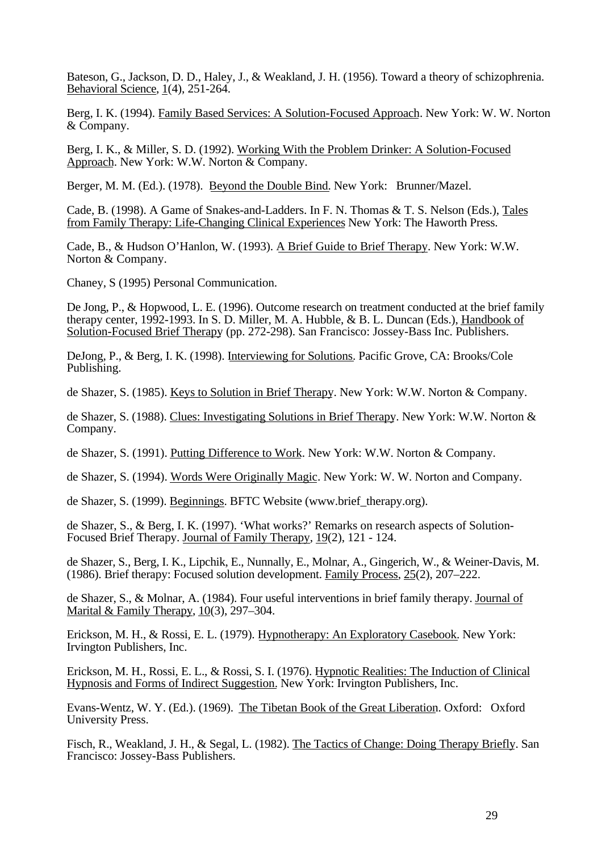Bateson, G., Jackson, D. D., Haley, J., & Weakland, J. H. (1956). Toward a theory of schizophrenia. Behavioral Science, 1(4), 251-264.

Berg, I. K. (1994). Family Based Services: A Solution-Focused Approach. New York: W. W. Norton & Company.

Berg, I. K., & Miller, S. D. (1992). Working With the Problem Drinker: A Solution-Focused Approach. New York: W.W. Norton & Company.

Berger, M. M. (Ed.). (1978). Beyond the Double Bind. New York: Brunner/Mazel.

Cade, B. (1998). A Game of Snakes-and-Ladders. In F. N. Thomas & T. S. Nelson (Eds.), Tales from Family Therapy: Life-Changing Clinical Experiences New York: The Haworth Press.

Cade, B., & Hudson O'Hanlon, W. (1993). A Brief Guide to Brief Therapy. New York: W.W. Norton & Company.

Chaney, S (1995) Personal Communication.

De Jong, P., & Hopwood, L. E. (1996). Outcome research on treatment conducted at the brief family therapy center, 1992-1993. In S. D. Miller, M. A. Hubble, & B. L. Duncan (Eds.), Handbook of Solution-Focused Brief Therapy (pp. 272-298). San Francisco: Jossey-Bass Inc. Publishers.

DeJong, P., & Berg, I. K. (1998). Interviewing for Solutions. Pacific Grove, CA: Brooks/Cole Publishing.

de Shazer, S. (1985). Keys to Solution in Brief Therapy. New York: W.W. Norton & Company.

de Shazer, S. (1988). Clues: Investigating Solutions in Brief Therapy. New York: W.W. Norton & Company.

de Shazer, S. (1991). Putting Difference to Work. New York: W.W. Norton & Company.

de Shazer, S. (1994). Words Were Originally Magic. New York: W. W. Norton and Company.

de Shazer, S. (1999). Beginnings. BFTC Website (www.brief\_therapy.org).

de Shazer, S., & Berg, I. K. (1997). 'What works?' Remarks on research aspects of Solution-Focused Brief Therapy. Journal of Family Therapy, 19(2), 121 - 124.

de Shazer, S., Berg, I. K., Lipchik, E., Nunnally, E., Molnar, A., Gingerich, W., & Weiner-Davis, M. (1986). Brief therapy: Focused solution development. Family Process, 25(2), 207–222.

de Shazer, S., & Molnar, A. (1984). Four useful interventions in brief family therapy. Journal of Marital & Family Therapy,  $10(3)$ , 297–304.

Erickson, M. H., & Rossi, E. L. (1979). Hypnotherapy: An Exploratory Casebook. New York: Irvington Publishers, Inc.

Erickson, M. H., Rossi, E. L., & Rossi, S. I. (1976). Hypnotic Realities: The Induction of Clinical Hypnosis and Forms of Indirect Suggestion. New York: Irvington Publishers, Inc.

Evans-Wentz, W. Y. (Ed.). (1969). The Tibetan Book of the Great Liberation. Oxford: Oxford University Press.

Fisch, R., Weakland, J. H., & Segal, L. (1982). The Tactics of Change: Doing Therapy Briefly. San Francisco: Jossey-Bass Publishers.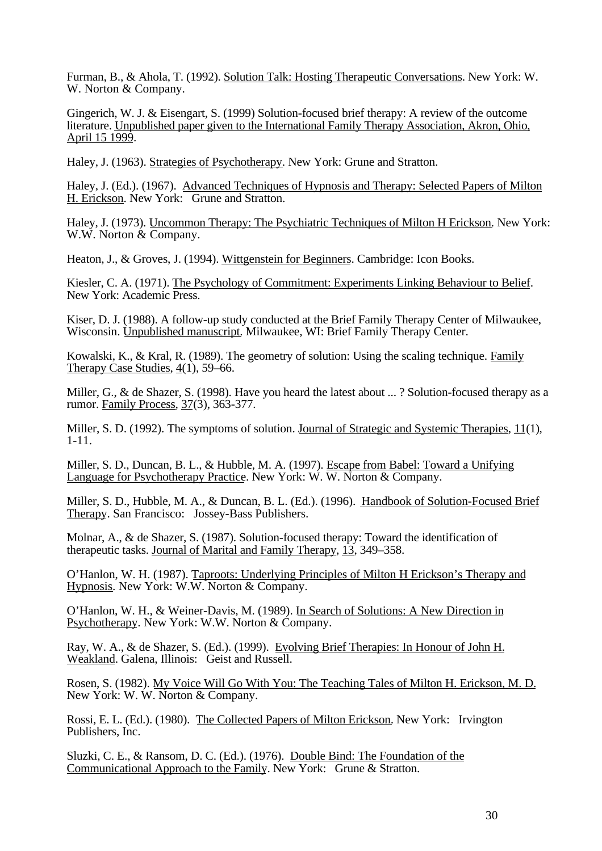Furman, B., & Ahola, T. (1992). Solution Talk: Hosting Therapeutic Conversations. New York: W. W. Norton & Company.

Gingerich, W. J. & Eisengart, S. (1999) Solution-focused brief therapy: A review of the outcome literature. Unpublished paper given to the International Family Therapy Association, Akron, Ohio, April 15 1999.

Haley, J. (1963). Strategies of Psychotherapy. New York: Grune and Stratton.

Haley, J. (Ed.). (1967). Advanced Techniques of Hypnosis and Therapy: Selected Papers of Milton H. Erickson. New York: Grune and Stratton.

Haley, J. (1973). Uncommon Therapy: The Psychiatric Techniques of Milton H Erickson. New York: W.W. Norton & Company.

Heaton, J., & Groves, J. (1994). Wittgenstein for Beginners. Cambridge: Icon Books.

Kiesler, C. A. (1971). The Psychology of Commitment: Experiments Linking Behaviour to Belief. New York: Academic Press.

Kiser, D. J. (1988). A follow-up study conducted at the Brief Family Therapy Center of Milwaukee, Wisconsin. Unpublished manuscript. Milwaukee, WI: Brief Family Therapy Center.

Kowalski, K., & Kral, R. (1989). The geometry of solution: Using the scaling technique. Family Therapy Case Studies, 4(1), 59–66.

Miller, G., & de Shazer, S. (1998). Have you heard the latest about ... ? Solution-focused therapy as a rumor. Family Process, 37(3), 363-377.

Miller, S. D. (1992). The symptoms of solution. Journal of Strategic and Systemic Therapies, 11(1), 1-11.

Miller, S. D., Duncan, B. L., & Hubble, M. A. (1997). Escape from Babel: Toward a Unifying Language for Psychotherapy Practice. New York: W. W. Norton & Company.

Miller, S. D., Hubble, M. A., & Duncan, B. L. (Ed.). (1996). Handbook of Solution-Focused Brief Therapy. San Francisco: Jossey-Bass Publishers.

Molnar, A., & de Shazer, S. (1987). Solution-focused therapy: Toward the identification of therapeutic tasks. Journal of Marital and Family Therapy, 13, 349–358.

O'Hanlon, W. H. (1987). Taproots: Underlying Principles of Milton H Erickson's Therapy and Hypnosis. New York: W.W. Norton & Company.

O'Hanlon, W. H., & Weiner-Davis, M. (1989). In Search of Solutions: A New Direction in Psychotherapy. New York: W.W. Norton & Company.

Ray, W. A., & de Shazer, S. (Ed.). (1999). Evolving Brief Therapies: In Honour of John H. Weakland. Galena, Illinois: Geist and Russell.

Rosen, S. (1982). My Voice Will Go With You: The Teaching Tales of Milton H. Erickson, M. D. New York: W. W. Norton & Company.

Rossi, E. L. (Ed.). (1980). The Collected Papers of Milton Erickson. New York: Irvington Publishers, Inc.

Sluzki, C. E., & Ransom, D. C. (Ed.). (1976). Double Bind: The Foundation of the Communicational Approach to the Family. New York: Grune & Stratton.